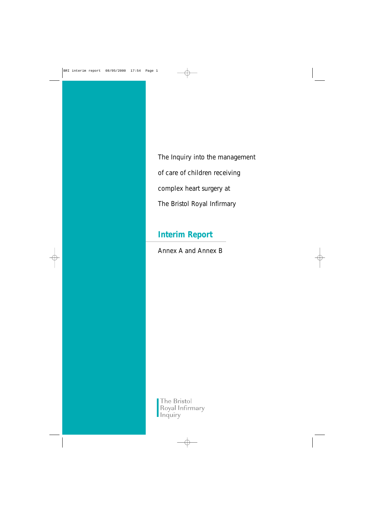The Inquiry into the management of care of children receiving complex heart surgery at The Bristol Royal Infirmary

## **Interim Report**

*Annex A and Annex B*

The Bristol Royal Infirmary **Inquiry**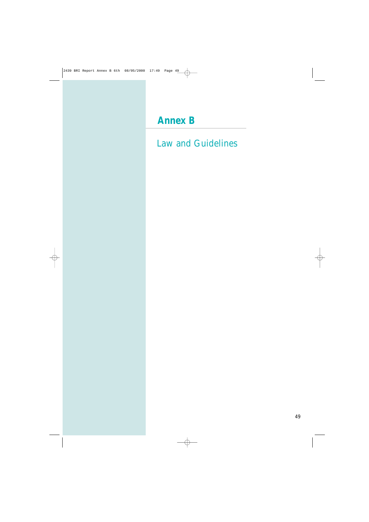# **Annex B**

Law and Guidelines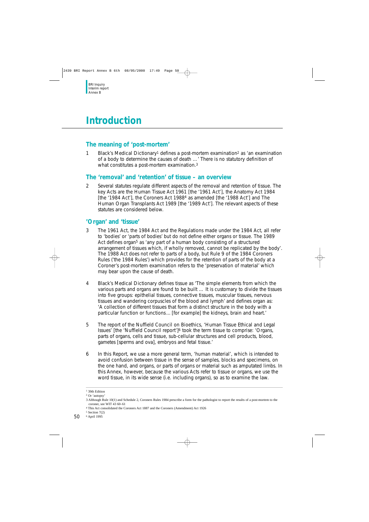# **Introduction**

## **The meaning of 'post-mortem'**

1 *Black's Medical Dictionary*<sup>1</sup> defines a post-mortem examination<sup>2</sup> as 'an examination of a body to determine the causes of death …' There is no statutory definition of what constitutes a post-mortem examination.<sup>3</sup>

#### **The 'removal' and 'retention' of tissue – an overview**

2 Several statutes regulate different aspects of the removal and retention of tissue. The key Acts are the Human Tissue Act 1961 [the '1961 Act'], the Anatomy Act 1984 [the '1984 Act'], the Coroners Act 19884 as amended [the '1988 Act'] and The Human Organ Transplants Act 1989 [the '1989 Act']. The relevant aspects of these statutes are considered below.

#### **'Organ' and 'tissue'**

- 3 The 1961 Act, the 1984 Act and the Regulations made under the 1984 Act, all refer to 'bodies' or 'parts of bodies' but do not define either organs or tissue. The 1989 Act defines organ<sup>5</sup> as 'any part of a human body consisting of a structured arrangement of tissues which, if wholly removed, cannot be replicated by the body'. The 1988 Act does not refer to parts of a body, but Rule 9 of the 1984 Coroners Rules ('the 1984 Rules') which provides for the retention of parts of the body at a Coroner's post-mortem examination refers to the 'preservation of material' which may bear upon the cause of death.
- 4 *Black's Medical Dictionary* defines tissue as 'The simple elements from which the various parts and organs are found to be built … It is customary to divide the tissues into five groups: epithelial tissues, connective tissues, muscular tissues, nervous tissues and wandering corpuscles of the blood and lymph' and defines organ as: 'A collection of different tissues that form a distinct structure in the body with a particular function or functions…[for example] the kidneys, brain and heart.'
- 5 The report of the Nuffield Council on Bioethics, *'Human Tissue Ethical and Legal Issues'* [the *'Nuffield Council report'*]6 took the term tissue to comprise: 'Organs, parts of organs, cells and tissue, sub-cellular structures and cell products, blood, gametes [sperms and ova], embryos and fetal tissue.'
- 6 In this Report, we use a more general term, 'human material', which is intended to avoid confusion between tissue in the sense of samples, blocks and specimens, on the one hand, and organs, or parts of organs or material such as amputated limbs. In this Annex, however, because the various Acts refer to tissue or organs, we use the word tissue, in its wide sense (i.e. including organs), so as to examine the law.

<sup>1</sup> 39th Edition

<sup>2</sup> Or 'autopsy'

<sup>3</sup> Although Rule 10(1) and Schedule 2, Coroners Rules 1984 prescribe a form for the pathologist to report the results of a post-mortem to the coroner, see WIT 43 60–61

<sup>4</sup> This Act consolidated the Coroners Act 1887 and the Coroners (Amendment) Act 1926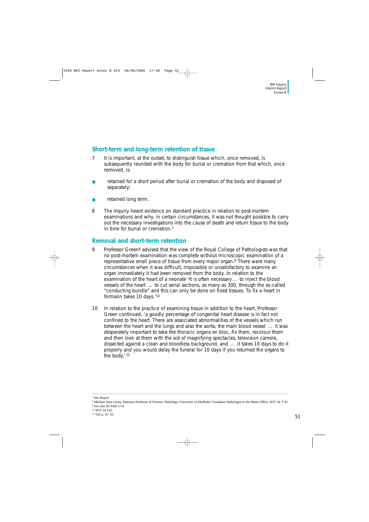## **Short-term and long-term retention of tissue**

- 7 It is important, at the outset, to distinguish tissue which, once removed, is subsequently reunited with the body for burial or cremation from that which, once removed, is:
- retained for a short period after burial or cremation of the body and disposed of separately;
- retained long term.
- 8 The Inquiry heard evidence on standard practice in relation to post-mortem examinations and why, in certain circumstances, it was not thought possible to carry out the necessary investigations into the cause of death and return tissue to the body in time for burial or cremation.7

#### **Removal and short-term retention**

- 9 Professor Green<sup>8</sup> advised that the view of the Royal College of Pathologists was that no post-mortem examination was complete without microscopic examination of a representative small piece of tissue from every major organ.9 There were many circumstances when it was difficult, impossible or unsatisfactory to examine an organ immediately it had been removed from the body. In relation to the examination of the heart of a neonate 'It is often necessary… to inject the blood vessels of the heart … to cut serial sections, as many as 300, through the so-called "conducting bundle" and this can only be done on fixed tissues. To fix a heart in formalin takes 10 days.'*<sup>10</sup>*
- 10 In relation to the practice of examining tissue in addition to the heart, Professor Green continued, 'a goodly percentage of congenital heart disease is in fact not confined to the heart. There are associated abnormalities of the vessels which run between the heart and the lungs and also the aorta, the main blood vessel … it was desperately important to take the thoracic organs en bloc, fix them, recolour them and then look at them with the aid of magnifying spectacles, television camera, dissected against a clean and bloodless background, and … it takes 10 days to do it properly and you would delay the funeral for 10 days if you returned the organs to the body.' <sup>11</sup>

<sup>10</sup> WIT 54 T42

<sup>7</sup> See Report

<sup>8</sup> Michael Alan Green, Emeritus Professor of Forensic Pathology, University of Sheffield, Consultant Pathologist to the Home Office, WIT 54, T 42 <sup>9</sup> See also RCPath 1/74

<sup>11</sup> T42 p. 47–55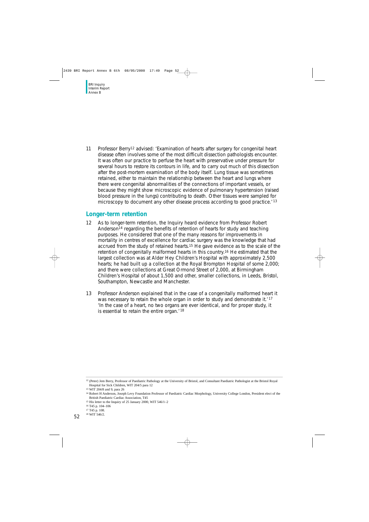11 Professor Berry12 advised: 'Examination of hearts after surgery for congenital heart disease often involves some of the most difficult dissection pathologists encounter. It was often our practice to perfuse the heart with preservative under pressure for several hours to restore its contours in life, and to carry out much of this dissection after the post-mortem examination of the body itself. Lung tissue was sometimes retained, either to maintain the relationship between the heart and lungs where there were congenital abnormalities of the connections of important vessels, or because they might show microscopic evidence of pulmonary hypertension (raised blood pressure in the lungs) contributing to death. Other tissues were sampled for microscopy to document any other disease process according to good practice.' <sup>13</sup>

#### **Longer-term retention**

- 12 As to longer-term retention, the Inquiry heard evidence from Professor Robert Anderson14 regarding the benefits of retention of hearts for study and teaching purposes. He considered that one of the many reasons for improvements in mortality in centres of excellence for cardiac surgery was the knowledge that had accrued from the study of retained hearts.15 He gave evidence as to the scale of the retention of congenitally malformed hearts in this country.16 He estimated that the largest collection was at Alder Hey Children's Hospital with approximately 2,500 hearts; he had built up a collection at the Royal Brompton Hospital of some 2,000; and there were collections at Great Ormond Street of 2,000, at Birmingham Children's Hospital of about 1,500 and other, smaller collections, in Leeds, Bristol, Southampton, Newcastle and Manchester.
- 13 Professor Anderson explained that in the case of a congenitally malformed heart it was necessary to retain the whole organ in order to study and demonstrate it.<sup>'17</sup> 'In the case of a heart, no two organs are ever identical, and for proper study, it is essential to retain the entire organ.' <sup>18</sup>

<sup>12</sup> (Peter) Jem Berry, Professor of Paediatric Pathology at the University of Bristol, and Consultant Paediatric Pathologist at the Bristol Royal Hospital for Sick Children, WIT 204/5 para 12

<sup>13</sup> WIT 204/8 and 9, para 26

<sup>14</sup> Robert H Anderson, Joseph Levy Foundation Professor of Paediatric Cardiac Morphology, University College London, President elect of the British Paediatric Cardiac Association, T45

<sup>15</sup> His letter to the Inquiry of 25 January 2000, WIT 546/1–2

<sup>16</sup> T45 p. 104–106

<sup>17</sup> T45 p. 108.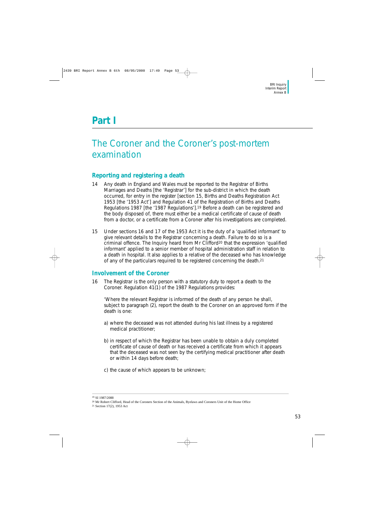# **Part I**

# The Coroner and the Coroner's post-mortem examination

### **Reporting and registering a death**

- 14 Any death in England and Wales must be reported to the Registrar of Births Marriages and Deaths [the 'Registrar'] for the sub-district in which the death occurred, for entry in the register [section 15, Births and Deaths Registration Act 1953 [the '1953 Act'] and Regulation 41 of the Registration of Births and Deaths Regulations 1987 [the '1987 Regulations'].19 Before a death can be registered and the body disposed of, there must either be a medical certificate of cause of death from a doctor, or a certificate from a Coroner after his investigations are completed.
- 15 Under sections 16 and 17 of the 1953 Act it is the duty of a 'qualified informant' to give relevant details to the Registrar concerning a death. Failure to do so is a criminal offence. The Inquiry heard from Mr Clifford20 that the expression 'qualified informant' applied to a senior member of hospital administration staff in relation to a death in hospital. It also applies to a relative of the deceased who has knowledge of any of the particulars required to be registered concerning the death.21

#### **Involvement of the Coroner**

16 The Registrar is the only person with a statutory duty to report a death to the Coroner. Regulation 41(1) of the 1987 Regulations provides:

'Where the relevant Registrar is informed of the death of any person he shall, subject to paragraph (2), report the death to the Coroner on an approved form if the death is one:

- a) where the deceased was not attended during his last illness by a registered medical practitioner;
- b) in respect of which the Registrar has been unable to obtain a duly completed certificate of cause of death or has received a certificate from which it appears that the deceased was not seen by the certifying medical practitioner after death or within 14 days before death;
- c) the cause of which appears to be unknown;

<sup>19</sup> SI 1987/2088

<sup>21</sup> Section 17(2), 1953 Act

<sup>20</sup> Mr Robert Clifford, Head of the Coroners Section of the Animals, Byelaws and Coroners Unit of the Home Office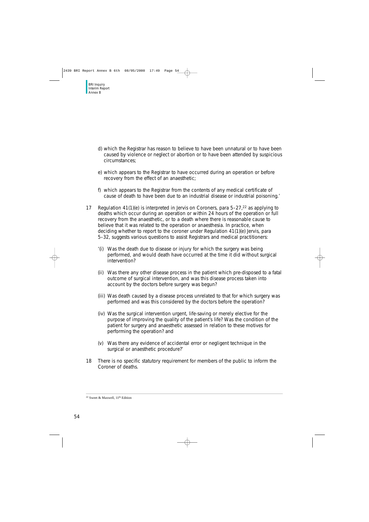- d) which the Registrar has reason to believe to have been unnatural or to have been caused by violence or neglect or abortion or to have been attended by suspicious circumstances;
- e) which appears to the Registrar to have occurred during an operation or before recovery from the effect of an anaesthetic;
- f) which appears to the Registrar from the contents of any medical certificate of cause of death to have been due to an industrial disease or industrial poisoning.'
- 17 Regulation 41(1)(e) is interpreted in *Jervis on Coroners,* para 5–27,22 as applying to deaths which occur during an operation or within 24 hours of the operation or full recovery from the anaesthetic, or to a death where there is reasonable cause to believe that it was related to the operation or anaesthesia. In practice, when deciding whether to report to the coroner under Regulation 41(1)(e) *Jervis,* para 5–32*,* suggests various questions to assist Registrars and medical practitioners:
	- '(i) Was the death due to disease or injury for which the surgery was being performed, and would death have occurred at the time it did without surgical intervention?
	- (ii) Was there any other disease process in the patient which pre-disposed to a fatal outcome of surgical intervention, and was this disease process taken into account by the doctors before surgery was begun?
	- (iii) Was death caused by a disease process unrelated to that for which surgery was performed and was this considered by the doctors before the operation?
	- (iv) Was the surgical intervention urgent, life-saving or merely elective for the purpose of improving the quality of the patient's life? Was the condition of the patient for surgery and anaesthetic assessed in relation to these motives for performing the operation? and
	- (v) Was there any evidence of accidental error or negligent technique in the surgical or anaesthetic procedure?'
- 18 There is no specific statutory requirement for members of the public to inform the Coroner of deaths.

<sup>22</sup> Sweet & Maxwell, 11th Edition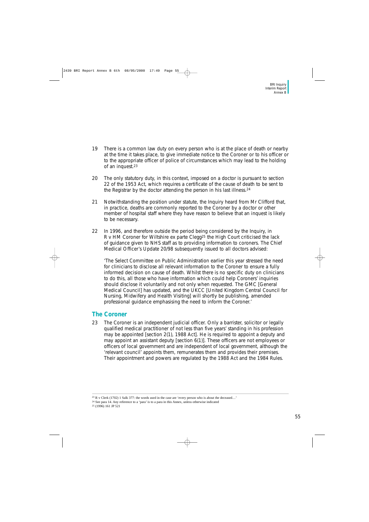- 19 There is a common law duty on every person who is at the place of death or nearby at the time it takes place, to give immediate notice to the Coroner or to his officer or to the appropriate officer of police of circumstances which may lead to the holding of an inquest.23
- 20 The only statutory duty, in this context, imposed on a doctor is pursuant to section 22 of the 1953 Act, which requires a certificate of the cause of death to be sent to the Registrar by the doctor attending the person in his last illness.24
- 21 Notwithstanding the position under statute, the Inquiry heard from Mr Clifford that, in practice, deaths are commonly reported to the Coroner by a doctor or other member of hospital staff where they have reason to believe that an inquest is likely to be necessary.
- 22 In 1996, and therefore outside the period being considered by the Inquiry, in *R v HM Coroner for Wiltshire ex parte Clegg25* the High Court criticised the lack of guidance given to NHS staff as to providing information to coroners. The Chief Medical Officer's *Update 20/98* subsequently issued to all doctors advised:

'The Select Committee on Public Administration earlier this year stressed the need for clinicians to disclose all relevant information to the Coroner to ensure a fully informed decision on cause of death. Whilst there is no specific duty on clinicians to do this, all those who have information which could help Coroners' inquiries should disclose it voluntarily and not only when requested. The GMC [General Medical Council] has updated, and the UKCC [United Kingdom Central Council for Nursing, Midwifery and Health Visiting] will shortly be publishing, amended professional guidance emphasising the need to inform the Coroner.'

### **The Coroner**

23 The Coroner is an independent judicial officer. Only a barrister, solicitor or legally qualified medical practitioner of not less than five years' standing in his profession may be appointed [section 2(1), 1988 Act]. He is required to appoint a deputy and may appoint an assistant deputy [section 6(1)]. These officers are not employees or officers of local government and are independent of local government, although the 'relevant council' appoints them, remunerates them and provides their premises. Their appointment and powers are regulated by the 1988 Act and the 1984 Rules.

<sup>23</sup> R v Clerk (1702) 1 Salk 377: the words used in the case are 'every person who is about the deceased…'

<sup>24</sup> See para 14. Any reference to a 'para' is to a para in this Annex, unless otherwise indicated

<sup>25</sup> (1996) 161 JP 521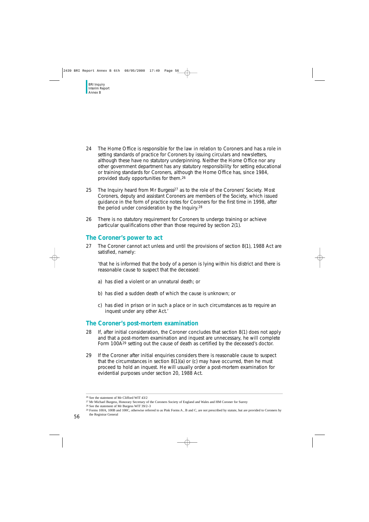

- 24 The Home Office is responsible for the law in relation to Coroners and has a role in setting standards of practice for Coroners by issuing circulars and newsletters, although these have no statutory underpinning. Neither the Home Office nor any other government department has any statutory responsibility for setting educational or training standards for Coroners, although the Home Office has, since 1984, provided study opportunities for them.26
- 25 The Inquiry heard from Mr Burgess<sup>27</sup> as to the role of the Coroners' Society. Most Coroners, deputy and assistant Coroners are members of the Society, which issued guidance in the form of practice notes for Coroners for the first time in 1998, after the period under consideration by the Inquiry.28
- 26 There is no statutory requirement for Coroners to undergo training or achieve particular qualifications other than those required by section 2(1).

#### **The Coroner's power to act**

27 The Coroner cannot act unless and until the provisions of section 8(1), 1988 Act are satisfied, namely:

'that he is informed that the body of a person is lying within his district and there is reasonable cause to suspect that the deceased:

- a) has died a violent or an unnatural death; or
- b) has died a sudden death of which the cause is unknown; or
- c) has died in prison or in such a place or in such circumstances as to require an inquest under any other Act.'

#### **The Coroner's post-mortem examination**

- 28 If, after initial consideration, the Coroner concludes that section 8(1) does not apply and that a post-mortem examination and inquest are unnecessary, he will complete Form 100A29 setting out the cause of death as certified by the deceased's doctor.
- 29 If the Coroner after initial enquiries considers there is reasonable cause to suspect that the circumstances in section 8(1)(a) or (c) may have occurred, then he must proceed to hold an inquest. He will usually order a post-mortem examination for evidential purposes under section 20, 1988 Act.

<sup>26</sup> See the statement of Mr Clifford WIT 43/2

<sup>27</sup> Mr Michael Burgess, Honorary Secretary of the Coroners Society of England and Wales and HM Coroner for Surrey

<sup>28</sup> See the statement of Mr Burgess WIT 39/2–3

<sup>29</sup> Forms 100A, 100B and 100C, otherwise referred to as Pink Forms A , B and C, are not prescribed by statute, but are provided to Coroners by the Registrar General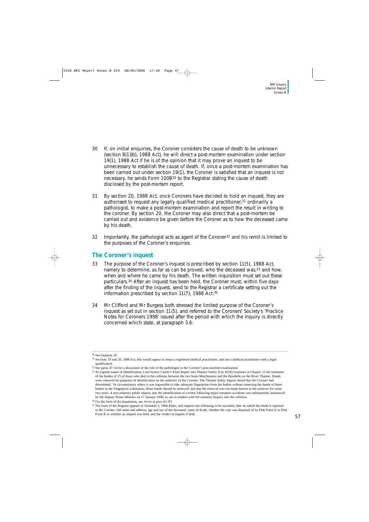- 30 If, on initial enquiries, the Coroner considers the cause of death to be unknown (section 8(1)(b), 1988 Act), he will direct a post-mortem examination under section 19(1), 1988 Act if he is of the opinion that it may prove an inquest to be unnecessary to establish the cause of death. If, once a post-mortem examination has been carried out under section 19(1), the Coroner is satisfied that an inquest is not necessary, he sends Form 100B30 to the Registrar stating the cause of death disclosed by the post-mortem report.
- 31 By section 20, 1988 Act, once Coroners have decided to hold an inquest, they are authorised to request any legally qualified medical practitioner,<sup>31</sup> ordinarily a pathologist, to make a post-mortem examination and report the result in writing to the coroner. By section 20, the Coroner may also direct that a post-mortem be carried out and evidence be given before the Coroner as to how the deceased came by his death.
- 32 Importantly, the pathologist acts as agent of the Coroner32 and his remit is limited to the purposes of the Coroner's enquiries.

## **The Coroner's inquest**

- 33 The purpose of the Coroner's inquest is prescribed by section 11(5), 1988 Act, namely to determine, as far as can be proved, who the deceased was,<sup>33</sup> and how, when and where he came by his death. The written inquisition must set out these particulars.34 After an inquest has been held, the Coroner must, within five days after the finding of the inquest, send to the Registrar a certificate setting out the information prescribed by section 11(7), 1988 Act.35
- 34 Mr Clifford and Mr Burgess both stressed the limited purpose of the Coroner's inquest as set out in section 11(5), and referred to the Coroners' Society's 'Practice Notes for Coroners 1998' issued after the period with which the Inquiry is directly concerned which state, at paragraph 3.6:

<sup>30</sup> See footnote 29

<sup>31</sup> Sections 19 and 20, 1988 Act; this would appear to mean a registered medical practitioner, and not a medical practitioner with a legal qualification

<sup>32</sup> See paras 47–54 for a discussion of the role of the pathologist in the Coroner's post-mortem examination

<sup>33</sup> As regards issues of identification, Lord Justice Clarke's Final Report into Thames Safety [Cm 4558] examines at Chapter 12 the treatment of the bodies of 25 of those who died in the collision between the two boats Marchioness and the Bowbelle on the River Thames. Hands were removed for purposes of identification on the authority of the Coroner. The Thames Safety Inquiry heard that the Coroner had determined: 'In circumstances where it was impossible to take adequate fingerprints from the bodies without removing the hands of those bodies to the Fingerprint Laboratory, those hands should be removed' and that the removal was not made known to the relatives for some two years. A non-statutory public inquiry into the identification of victims following major transport accidents was subsequently announced by the Deputy Prime Minister on 17 January 2000, to run in tandem with the statutory Inquiry into the collision

<sup>34</sup> For the form of the Inquisition, see *Jervis* at para A2–93

<sup>35</sup> The form of the Register appears at Schedule 3, 1984 Rules, and requires the following to be recorded: date on which the death is reported to the Coroner, full name and address, age and sex of the deceased, cause of death, whether the case was disposed of by Pink Form A or Pink Form B or whether an inquest was held, and the verdict at inquest if held.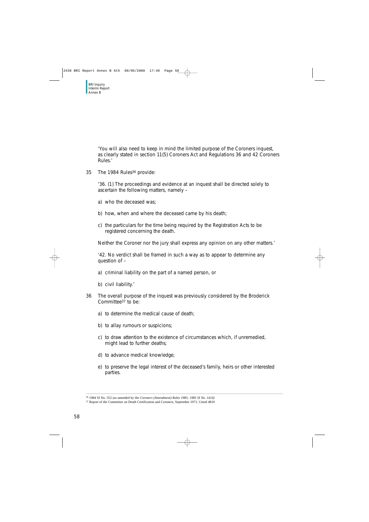'You will also need to keep in mind the limited purpose of the Coroners inquest, as clearly stated in section 11(5) Coroners Act and Regulations 36 and 42 Coroners Rules.'

35 The 1984 Rules36 provide:

'36. (1) The proceedings and evidence at an inquest shall be directed solely to ascertain the following matters, namely –

- a) who the deceased was;
- b) how, when and where the deceased came by his death;
- c) the particulars for the time being required by the Registration Acts to be registered concerning the death.

Neither the Coroner nor the jury shall express any opinion on any other matters.'

'42. No verdict shall be framed in such a way as to appear to determine any question of –

- a) criminal liability on the part of a named person, or
- b) civil liability.'
- 36 The overall purpose of the inquest was previously considered by the Broderick Committee37 to be:
	- a) to determine the medical cause of death;
	- b) to allay rumours or suspicions;
	- c) to draw attention to the existence of circumstances which, if unremedied, might lead to further deaths;
	- d) to advance medical knowledge;
	- e) to preserve the legal interest of the deceased's family, heirs or other interested parties.

<sup>36</sup> 1984 SI No. 552 (as amended by the *Coroners (Amendment) Rules 1985; 1985 SI No. 1414)*

<sup>37</sup> Report of the Committee on Death Certification and Coroners, September 1971, Cmnd 4810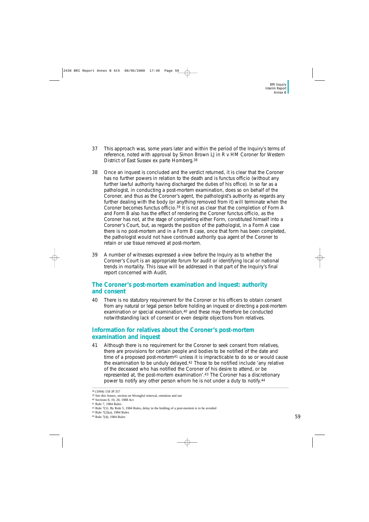- 37 This approach was, some years later and within the period of the Inquiry's terms of reference, noted with approval by Simon Brown LJ in *R v HM Coroner for Western District of East Sussex ex parte Homberg.38*
- 38 Once an inquest is concluded and the verdict returned, it is clear that the Coroner has no further powers in relation to the death and is *functus officio* (without any further lawful authority having discharged the duties of his office). In so far as a pathologist, in conducting a post-mortem examination, does so on behalf of the Coroner, and thus as the Coroner's agent, the pathologist's authority as regards any further dealing with the body (or anything removed from it) will terminate when the Coroner becomes *functus officio.*<sup>39</sup> It is not as clear that the completion of Form A and Form B also has the effect of rendering the Coroner *functus officio*, as the Coroner has not, at the stage of completing either Form, constituted himself into a Coroner's Court, but, as regards the position of the pathologist, in a Form A case there is no post-mortem and in a Form B case, once that form has been completed, the pathologist would not have continued authority *qua* agent of the Coroner to retain or use tissue removed at post-mortem.
- 39 A number of witnesses expressed a view before the Inquiry as to whether the Coroner's Court is an appropriate forum for audit or identifying local or national trends in mortality. This issue will be addressed in that part of the Inquiry's final report concerned with Audit.

#### **The Coroner's post-mortem examination and inquest: authority and consent**

40 There is no statutory requirement for the Coroner or his officers to obtain consent from any natural or legal person before holding an inquest or directing a post-mortem examination or special examination,40 and these may therefore be conducted notwithstanding lack of consent or even despite objections from relatives.

#### **Information for relatives about the Coroner's post-mortem examination and inquest**

41 Although there is no requirement for the Coroner to seek consent from relatives, there are provisions for certain people and bodies to be notified of the date and time of a proposed post-mortem41 unless it is impracticable to do so or would cause the examination to be unduly delayed.42 Those to be notified include 'any relative of the deceased who has notified the Coroner of his desire to attend, or be represented at, the post-mortem examination'.43 The Coroner has a discretionary power to notify any other person whom he is not under a duty to notify.44

<sup>38</sup> (1994) 158 JP 357

<sup>39</sup> See this Annex, section on Wrongful removal, retention and use

<sup>40</sup> Sections 8, 19, 20, 1988 Act

<sup>41</sup> Rule 7, 1984 Rules

<sup>42</sup> Rule 7(1). By Rule 5, 1984 Rules, delay in the holding of a post-mortem is to be avoided

<sup>43</sup> Rule 7(2)(a), 1984 Rules

<sup>44</sup> Rule 7(4), 1984 Rules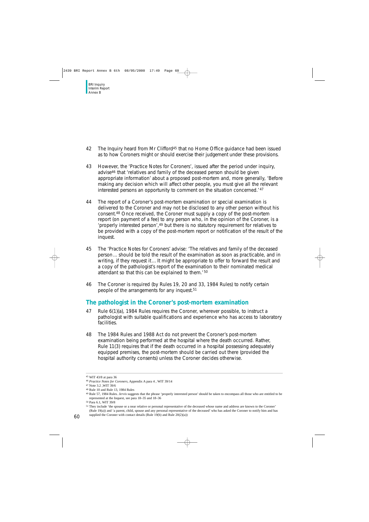

- 42 The Inquiry heard from Mr Clifford45 that no Home Office guidance had been issued as to how Coroners might or should exercise their judgement under these provisions.
- 43 However, the '*Practice Notes for Coroners'*, issued after the period under inquiry, advise46 that 'relatives and family of the deceased person should be given appropriate information' about a proposed post-mortem and, more generally, 'Before making any decision which will affect other people, you must give all the relevant interested persons an opportunity to comment on the situation concerned.' <sup>47</sup>
- 44 The report of a Coroner's post-mortem examination or special examination is delivered to the Coroner and may not be disclosed to any other person without his consent.48 Once received, the Coroner must supply a copy of the post-mortem report (on payment of a fee) to any person who, in the opinion of the Coroner, is a 'properly interested person',49 but there is no *statutory* requirement for relatives to be provided with a copy of the post-mortem report or notification of the result of the inquest.
- 45 The '*Practice Notes for Coroners'* advise: 'The relatives and family of the deceased person…should be told the result of the examination as soon as practicable, and in writing, if they request it…It might be appropriate to offer to forward the result and a copy of the pathologist's report of the examination to their nominated medical attendant so that this can be explained to them.' <sup>50</sup>
- 46 The Coroner is required (by Rules 19, 20 and 33, 1984 Rules) to notify certain people of the arrangements for any inquest.51

### **The pathologist in the Coroner's post-mortem examination**

- 47 Rule 6(1)(a), 1984 Rules requires the Coroner, wherever possible, to instruct a pathologist with suitable qualifications and experience who has access to laboratory facilities.
- 48 The *1984 Rules* and 1988 Act do not prevent the Coroner's post-mortem examination being performed at the hospital where the death occurred. Rather, Rule 11(3) requires that if the death occurred in a hospital possessing adequately equipped premises, the post-mortem should be carried out there (provided the hospital authority consents) unless the Coroner decides otherwise.

<sup>45</sup> WIT 43/8 at para 36

<sup>46</sup> *Practice Notes for Coroners*, Appendix A para 4 , WIT 39/14

<sup>47</sup> Note 3.2 ,WIT 39/6

<sup>48</sup> Rule 10 and Rule 13, 1984 Rules

<sup>49</sup> Rule 57, 1984 Rules. *Jervis* suggests that the phrase 'properly interested person' should be taken to encompass all those who are entitled to be represented at the Inquest, see para 18–35 and 18–36

<sup>50</sup> Para 6.1, WIT 39/8

<sup>51</sup> They include 'the spouse or a near relative or personal representative of the deceased whose name and address are known to the Coroner' (Rule 19(a)) and 'a parent, child, spouse and any personal representative of the deceased' who has asked the Coroner to notify him and has supplied the Coroner with contact details (Rule 19(b) and Rule  $20(2)(a)$ )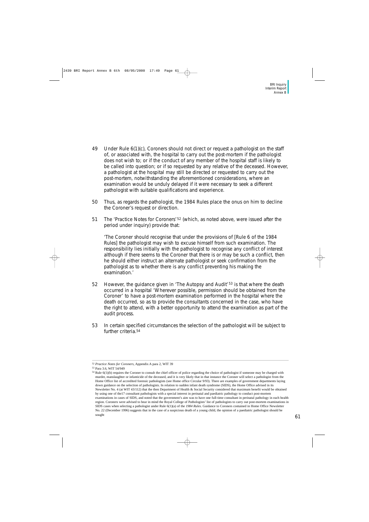- 49 Under Rule 6(1)(c), Coroners should not direct or request a pathologist on the staff of, or associated with, the hospital to carry out the post-mortem if the pathologist does not wish to; or if the conduct of any member of the hospital staff is likely to be called into question; or if so requested by any relative of the deceased. However, a pathologist at the hospital may still be directed or requested to carry out the post-mortem, notwithstanding the aforementioned considerations, where an examination would be unduly delayed if it were necessary to seek a different pathologist with suitable qualifications and experience.
- 50 Thus, as regards the pathologist, the 1984 Rules place the onus on him to decline the Coroner's request or direction.
- 51 The '*Practice Notes for Coroners'* <sup>52</sup> (which, as noted above, were issued after the period under inquiry) provide that:

'The Coroner should recognise that under the provisions of [Rule 6 of the 1984 Rules] the pathologist may wish to excuse himself from such examination. The responsibility lies initially with the pathologist to recognise any conflict of interest although if there seems to the Coroner that there is or may be such a conflict, then he should either instruct an alternate pathologist or seek confirmation from the pathologist as to whether there is any conflict preventing his making the examination.'

- 52 However, the guidance given in '*The Autopsy and Audit'* <sup>53</sup> is that where the death occurred in a hospital 'Wherever possible, permission should be obtained from the Coroner' to have a post-mortem examination performed in the hospital where the death occurred, so as to provide the consultants concerned in the case, who have the right to attend, with a better opportunity to attend the examination as part of the audit process.
- 53 In certain specified circumstances the selection of the pathologist will be subject to further criteria 54

<sup>52</sup> *Practice Notes for Coroners*, Appendix A para 2, WIT 39

<sup>53</sup> Para 3.6, WIT 54/949

<sup>54</sup> Rule 6(1)(b) requires the Coroner to consult the chief officer of police regarding the choice of pathologist if someone may be charged with murder, manslaughter or infanticide of the deceased, and it is very likely that in that instance the Coroner will select a pathologist from the Home Office list of accredited forensic pathologists (see Home office Circular 9/93). There are examples of government departments laying down guidance on the selection of pathologists. In relation to sudden infant death syndrome (SIDS), the Home Office advised in its Newsletter No. 4 (at WIT 43/112) that the then Department of Health & Social Security considered that maximum benefit would be obtained by using one of the17 consultant pathologists with a special interest in perinatal and paediatric pathology to conduct post-mortem examinations in cases of SIDS, and noted that the government's aim was to have one full-time consultant in perinatal pathology in each health region. Coroners were advised to bear in mind the Royal College of Pathologists' list of pathologists to carry out post-mortem examinations in SIDS cases when selecting a pathologist under Rule 6(1)(a) of the *1984 Rules*. Guidance to Coroners contained in Home Office Newsletter No. 22 (December 1996) suggests that in the case of a suspicious death of a young child, the opinion of a paediatric pathologist should be sought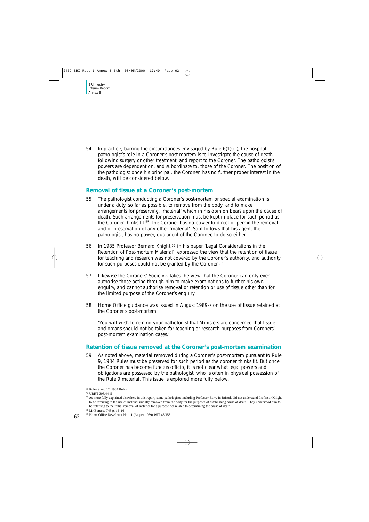

54 In practice, barring the circumstances envisaged by Rule 6(1)(c ), the hospital pathologist's role in a Coroner's post-mortem is to investigate the cause of death following surgery or other treatment, and report to the Coroner. The pathologist's powers are dependent on, and subordinate to, those of the Coroner. The position of the pathologist once his principal, the Coroner, has no further proper interest in the death, will be considered below.

#### **Removal of tissue at a Coroner's post-mortem**

- 55 The pathologist conducting a Coroner's post-mortem or special examination is under a duty, so far as possible, to remove from the body, and to make arrangements for preserving, 'material' which in his opinion bears upon the cause of death. Such arrangements for preservation must be kept in place for such period as the Coroner thinks fit.55 The Coroner has no power to direct or permit the removal and or preservation of any other 'material'. So it follows that his agent, the pathologist, has no power, *qua* agent of the Coroner, to do so either.
- 56 In 1985 Professor Bernard Knight,56 in his paper *'Legal Considerations in the Retention of Post-mortem Material'*, expressed the view that the retention of tissue for teaching and research was not covered by the Coroner's authority, and authority for such purposes could not be granted by the Coroner.57
- 57 Likewise the Coroners' Society58 takes the view that the Coroner can only ever authorise those acting through him to make examinations to further his own enquiry, and cannot authorise removal or retention or use of tissue other than for the limited purpose of the Coroner's enquiry.
- 58 Home Office guidance was issued in August 198959 on the use of tissue retained at the Coroner's post-mortem:

'You will wish to remind your pathologist that Ministers are concerned that tissue and organs should not be taken for teaching or research purposes from Coroners' post-mortem examination cases.'

#### **Retention of tissue removed at the Coroner's post-mortem examination**

59 As noted above, material removed during a Coroner's post-mortem pursuant to Rule 9, 1984 Rules must be preserved for such period as the coroner thinks fit. But once the Coroner has become *functus officio*, it is not clear what legal powers and obligations are possessed by the pathologist, who is often in physical possession of the Rule 9 material. This issue is explored more fully below.

<sup>55</sup> Rules 9 and 12, 1984 Rules

<sup>56</sup> UBHT 308/44–5

<sup>57</sup> As more fully explained elsewhere in this report, some pathologists, including Professor Berry in Bristol, did not understand Professor Knight to be referring to the use of material initially removed from the body for the purposes of establishing cause of death. They understood him to be referring to the initial removal of material for a purpose not related to determining the cause of death

<sup>58</sup> Mr Burgess T43 p. 15–16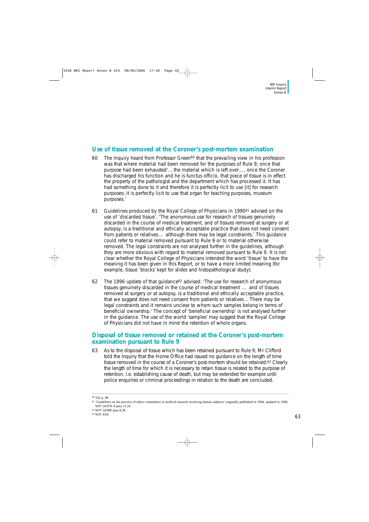#### **Use of tissue removed at the Coroner's post-mortem examination**

- 60 The Inquiry heard from Professor Green60 that the prevailing view in his profession was that where material had been removed for the purposes of Rule 9, once that purpose had been exhausted'…the material which is left over…, once the Coroner has discharged his function and he is *functus officio,* that piece of tissue is in effect the property of the pathologist and the department which has processed it. It has had something done to it and therefore it is perfectly licit to use [it] for research purposes; it is perfectly licit to use that organ for teaching purposes, museum purposes.'
- 61 Guidelines produced by the Royal College of Physicians in 199061 advised on the use of 'discarded tissue'. 'The anonymous use for research of tissues genuinely discarded in the course of medical treatment, and of tissues removed at surgery or at autopsy, is a traditional and ethically acceptable practice that does not need consent from patients or relatives… although there may be legal constraints.' This guidance could refer to material removed pursuant to Rule 9 or to material otherwise removed. The legal constraints are not analysed further in the guidelines, although they are more obvious with regard to material removed pursuant to Rule 9. It is not clear whether the Royal College of Physicians intended the word 'tissue' to have the meaning it has been given in this Report, or to have a more limited meaning (for example, tissue 'blocks' kept for slides and histopathological study).
- 62 The 1996 update of that guidance<sup> $62$ </sup> advised: 'The use for research of anonymous tissues genuinely discarded in the course of medical treatment … and of tissues removed at surgery or at autopsy, is a traditional and ethically acceptable practice, that we suggest does not need consent from patients or relatives…There may be legal constraints and it remains unclear to whom such samples belong in terms of beneficial ownership.' The concept of 'beneficial ownership' is not analysed further in the guidance. The use of the world 'samples' may suggest that the Royal College of Physicians did not have in mind the retention of whole organs.

#### **Disposal of tissue removed or retained at the Coroner's post-mortem examination pursuant to Rule 9**

63 As to the disposal of tissue which has been retained pursuant to Rule 9, Mr Clifford told the Inquiry that the Home Office had issued no guidance on the length of time tissue removed in the course of a Coroner's post-mortem should be retained.63 Clearly the length of time for which it is necessary to retain tissue is related to the purpose of retention, i.e. establishing cause of death, but may be extended for example until police enquiries or criminal proceedings in relation to the death are concluded.

<sup>60</sup> T42 p. 80

<sup>61</sup> 'Guidelines on the practice of ethics committees in medical research involving human subjects' originally published in 1984, updated in 1990, WIT 54/978–9 para 13.20

<sup>62</sup> WIT 54/980 para 8.28

<sup>63</sup> WIT 43/8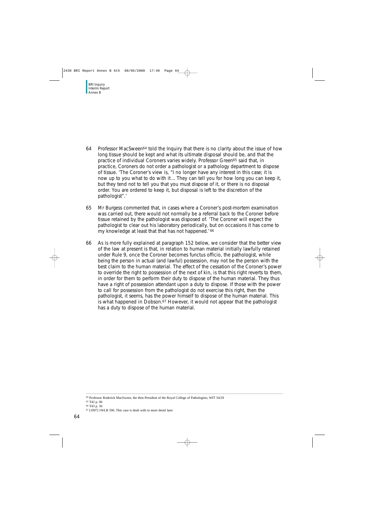- 64 Professor MacSween64 told the Inquiry that there is no clarity about the issue of how long tissue should be kept and what its ultimate disposal should be, and that the practice of individual Coroners varies widely. Professor Green65 said that, in practice, Coroners do not order a pathologist or a pathology department to dispose of tissue. 'The Coroner's view is, "I no longer have any interest in this case; it is now up to you what to do with it…They can tell you for how long you can keep it, but they tend not to tell you that you must dispose of it, or there is no disposal order. You are ordered to keep it, but disposal is left to the discretion of the pathologist".*'*
- 65 Mr Burgess commented that, in cases where a Coroner's post-mortem examination was carried out, there would not normally be a referral back to the Coroner before tissue retained by the pathologist was disposed of. 'The Coroner will expect the pathologist to clear out his laboratory periodically, but on occasions it has come to my knowledge at least that that has not happened.' <sup>66</sup>
- 66 As is more fully explained at paragraph 152 below, we consider that the better view of the law at present is that, in relation to human material initially lawfully retained under Rule 9, once the Coroner becomes *functus officio*, the pathologist, while being the person in actual (and lawful) possession, may not be the person with the best claim to the human material. The effect of the cessation of the Coroner's power to override the right to possession of the next of kin, is that this right reverts to them, in order for them to perform their duty to dispose of the human material. They thus have a right of possession attendant upon a duty to dispose. If those with the power to call for possession from the pathologist do not exercise this right, then the pathologist, it seems, has the power himself to dispose of the human material. This is what happened in *Dobson.67* However, it would not appear that the pathologist has a duty to dispose of the human material.

- <sup>65</sup> T42 p. 96
- <sup>66</sup> T43 p. 36

<sup>64</sup> Professor Roderick MacSween, the then President of the Royal College of Pathologists, WIT 54/29

<sup>67</sup> [1997] 1WLR 596. This case is dealt with in more detail later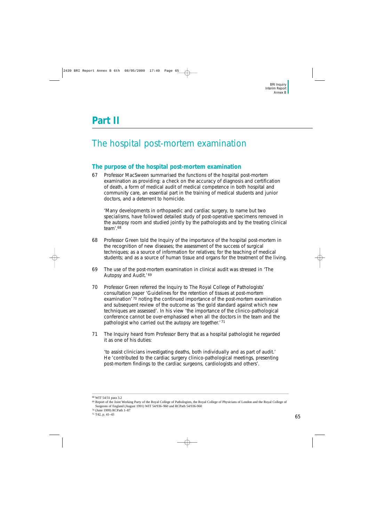# **Part II**

# The hospital post-mortem examination

### **The purpose of the hospital post-mortem examination**

67 Professor MacSween summarised the functions of the hospital post-mortem examination as providing: a check on the accuracy of diagnosis and certification of death, a form of medical audit of medical competence in both hospital and community care, an essential part in the training of medical students and junior doctors, and a deterrent to homicide.

'Many developments in orthopaedic and cardiac surgery, to name but two specialisms, have followed detailed study of post-operative specimens removed in the autopsy room and studied jointly by the pathologists and by the treating clinical team'.68

- 68 Professor Green told the Inquiry of the importance of the hospital post-mortem in the recognition of new diseases; the assessment of the success of surgical techniques; as a source of information for relatives; for the teaching of medical students; and as a source of human tissue and organs for the treatment of the living.
- 69 The use of the post-mortem examination in clinical audit was stressed in '*The Autopsy and Audit.'* <sup>69</sup>
- 70 Professor Green referred the Inquiry to The Royal College of Pathologists' consultation paper *'Guidelines for the retention of tissues at post-mortem examination'* <sup>70</sup> noting the continued importance of the post-mortem examination and subsequent review of the outcome as 'the gold standard against which new techniques are assessed'. In his view 'the importance of the clinico-pathological conference cannot be over-emphasised when all the doctors in the team and the pathologist who carried out the autopsy are together.' <sup>71</sup>
- 71 The Inquiry heard from Professor Berry that as a hospital pathologist he regarded it as one of his duties:

'to assist clinicians investigating deaths, both individually and as part of audit.' He 'contributed to the cardiac surgery clinico-pathological meetings, presenting post-mortem findings to the cardiac surgeons, cardiologists and others'.

<sup>68</sup> WIT 54/31 para 3.2

<sup>69</sup> Report of the Joint Working Party of the Royal College of Pathologists, the Royal College of Physicians of London and the Royal College of Surgeons of England (August 1991) WIT 54/936–960 and RCPath 54/936-960

<sup>70</sup> (June 1999) RCPath 1–87

<sup>71</sup> T42, p. 41–43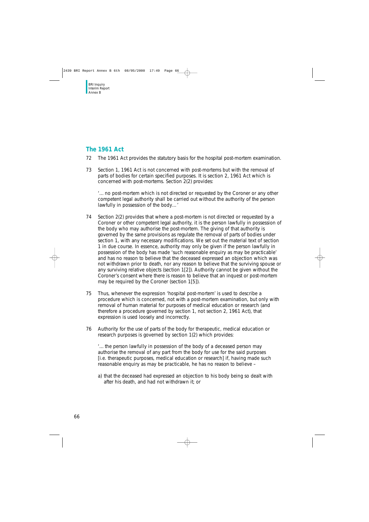## **The 1961 Act**

- 72 The 1961 Act provides the statutory basis for the hospital post-mortem examination.
- 73 Section 1, 1961 Act is not concerned with post-mortems but with the removal of parts of bodies for certain specified purposes. It is section 2, 1961 Act which is concerned with post-mortems. Section 2(2) provides:

'…no post-mortem which is not directed or requested by the Coroner or any other competent legal authority shall be carried out without the authority of the person lawfully in possession of the body…'

- 74 Section 2(2) provides that where a post-mortem is not directed or requested by a Coroner or other competent legal authority, it is the person lawfully in possession of the body who may authorise the post-mortem. The giving of that authority is governed by the same provisions as regulate the removal of parts of bodies under section 1, with any necessary modifications. We set out the material text of section 1 in due course. In essence, authority may only be given if the person lawfully in possession of the body has made 'such reasonable enquiry as may be practicable' and has no reason to believe that the deceased expressed an objection which was not withdrawn prior to death, nor any reason to believe that the surviving spouse or any surviving relative objects (section 1[2]). Authority cannot be given without the Coroner's consent where there is reason to believe that an inquest or post-mortem may be required by the Coroner (section 1[5]).
- 75 Thus, whenever the expression 'hospital post-mortem' is used to describe a procedure which is concerned, not with a post-mortem examination, but only with removal of human material for purposes of medical education or research (and therefore a procedure governed by section 1, not section 2, 1961 Act), that expression is used loosely and incorrectly.
- 76 Authority for the use of parts of the body for therapeutic, medical education or research purposes is governed by section 1(2) which provides:

'…the person lawfully in possession of the body of a deceased person may authorise the removal of any part from the body for use for the said purposes [i.e. therapeutic purposes, medical education or research] if, having made such reasonable enquiry as may be practicable, he has no reason to believe –

a) that the deceased had expressed an objection to his body being so dealt with after his death, and had not withdrawn it; or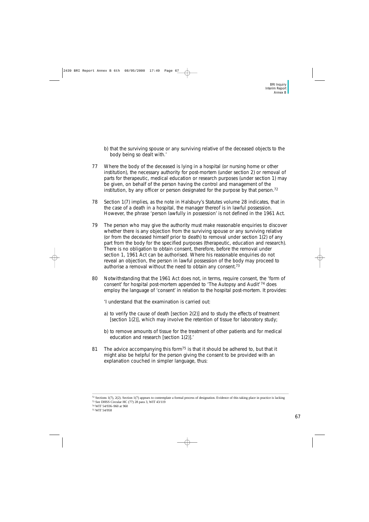- b) that the surviving spouse or any surviving relative of the deceased objects to the body being so dealt with.'
- 77 Where the body of the deceased is lying in a hospital (or nursing home or other institution), the necessary authority for post-mortem (under section 2) or removal of parts for therapeutic, medical education or research purposes (under section 1) may be given, on behalf of the person having the control and management of the institution, by any officer or person designated for the purpose by that person.72
- 78 Section 1(7) implies, as the note in Halsbury's Statutes volume 28 indicates, that in the case of a death in a hospital, the manager thereof is in lawful possession. However, the phrase 'person lawfully in possession' is not defined in the 1961 Act.
- 79 The person who may give the authority must make reasonable enquiries to discover whether there is any *objection* from the surviving spouse or any surviving relative (or from the deceased himself prior to death) to removal under section 1(2) of any part from the body for the specified purposes (therapeutic, education and research). There is no obligation to obtain *consent*, therefore, before the removal under section 1, 1961 Act can be authorised. Where his reasonable enquiries do not reveal an objection, the person in lawful possession of the body may proceed to authorise a removal without the need to obtain any consent.73
- 80 Notwithstanding that the 1961 Act does not, in terms, require consent, the 'form of consent' for hospital post-mortem appended to *'The Autopsy and Audit'* <sup>74</sup> does employ the language of 'consent' in relation to the hospital post-mortem. It provides:

'I understand that the examination is carried out:

- a) to verify the cause of death [section 2(2)] and to study the effects of treatment [section 1(2)], which may involve the retention of tissue for laboratory study;
- b) to remove amounts of tissue for the treatment of other patients and for medical education and research [section 1(2)].'
- 81 The advice accompanying this form<sup>75</sup> is that it should be adhered to, but that it might also be helpful for the person giving the consent to be provided with an explanation couched in simpler language, thus:

<sup>73</sup> See DHSS Circular HC (77) 28 para 3, WIT 43/119

<sup>72</sup> Sections 1(7), 2(2). Section 1(7) appears to contemplate a formal process of designation. Evidence of this taking place in practice is lacking

<sup>74</sup> WIT 54/936–960 at 960

<sup>75</sup> WIT 54/958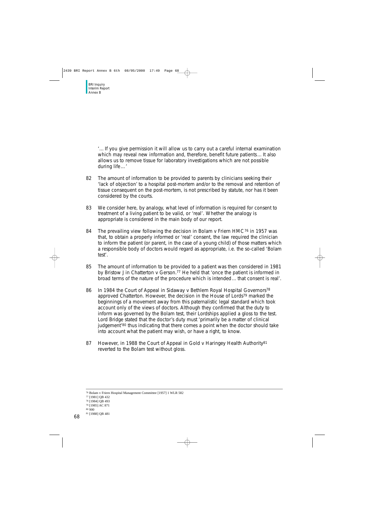'…If you give permission it will allow us to carry out a careful internal examination which may reveal new information and, therefore, benefit future patients... It also allows us to remove tissue for laboratory investigations which are not possible during life…'

- 82 The amount of information to be provided to parents by clinicians seeking their 'lack of objection' to a hospital post-mortem and/or to the removal and retention of tissue consequent on the post-mortem, is not prescribed by statute, nor has it been considered by the courts.
- 83 We consider here, by analogy, what level of information is required for consent to treatment of a living patient to be valid, or 'real'. Whether the analogy is appropriate is considered in the main body of our report.
- 84 The prevailing view following the decision in *Bolam v Friern HMC*<sup>76</sup> in 1957 was that, to obtain a properly informed or 'real' consent, the law required the clinician to inform the patient (or parent, in the case of a young child) of those matters which a responsible body of doctors would regard as appropriate, i.e. the so-called 'Bolam test'.
- 85 The amount of information to be provided to a patient was then considered in 1981 by Bristow J in *Chatterton v Gerson*.77 He held that 'once the patient is informed in broad terms of the nature of the procedure which is intended... that consent is real'.
- 86 In 1984 the Court of Appeal in *Sidaway v Bethlem Royal Hospital Governors*<sup>78</sup> approved *Chatterton*. However, the decision in the House of Lords79 marked the beginnings of a movement away from this paternalistic legal standard which took account only of the views of doctors. Although they confirmed that the duty to inform was governed by the Bolam test, their Lordships applied a gloss to the test. Lord Bridge stated that the doctor's duty must 'primarily be a matter of clinical judgement'80 thus indicating that there comes a point when the doctor should take into account what the patient may wish, or have a right, to know.
- 87 However, in 1988 the Court of Appeal in *Gold v Haringey Health Authority81* reverted to the Bolam test without gloss.

<sup>76</sup> Bolam v Friern Hospital Management Committee [1957] 1 WLR 582

<sup>77</sup> [1981] QB 432

<sup>78</sup> [1984] QB 493

<sup>79</sup> [1985] AC 871

<sup>80</sup> 900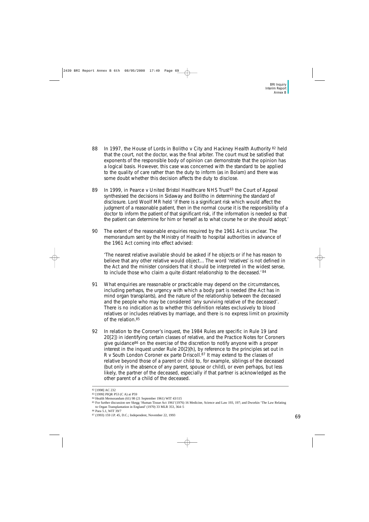- 88 In 1997, the House of Lords in *Bolitho v City and Hackney Health Authority* <sup>82</sup> held that the court, not the doctor, was the final arbiter. The court must be satisfied that exponents of the responsible body of opinion can demonstrate that the opinion has a logical basis. However, this case was concerned with the standard to be applied to the quality of care rather than the duty to inform (as in *Bolam*) and there was some doubt whether this decision affects the duty to disclose.
- 89 In 1999, in *Pearce v United Bristol Healthcare NHS Trust<sup>83</sup> the Court of Appeal* synthesised the decisions in *Sidaway* and *Bolitho* in determining the standard of disclosure. Lord Woolf MR held 'if there is a significant risk which would affect the judgment of a reasonable patient, then in the normal course it is the responsibility of a doctor to inform the patient of that significant risk, if the information is needed so that the patient can determine for him or herself as to what course he or she should adopt.'
- 90 The extent of the reasonable enquiries required by the 1961 Act is unclear. The memorandum sent by the Ministry of Health to hospital authorities in advance of the 1961 Act coming into effect advised:

'The nearest relative available should be asked if he objects or if he has reason to believe that any other relative would object…The word 'relatives' is not defined in the Act and the minister considers that it should be interpreted in the widest sense, to include those who claim a quite distant relationship to the deceased.' <sup>84</sup>

- 91 What enquiries are reasonable or practicable may depend on the circumstances, including perhaps, the urgency with which a body part is needed (the Act has in mind organ transplants), and the nature of the relationship between the deceased and the people who may be considered 'any surviving relative of the deceased'. There is no indication as to whether this definition relates exclusively to blood relatives or includes relatives by marriage, and there is no express limit on proximity of the relation.85
- 92 In relation to the Coroner's inquest, the 1984 Rules are specific in Rule 19 (and 20[2]) in identifying certain classes of relative, and the *Practice Notes for Coroners* give guidance<sup>86</sup> on the exercise of the discretion to notify anyone with a proper interest in the inquest under Rule 20(2)(h), by reference to the principles set out in *R v South London Coroner ex parte Driscoll.87* It may extend to the classes of relative beyond those of a parent or child to, for example, siblings of the deceased (but only in the absence of any parent, spouse or child), or even perhaps, but less likely, the partner of the deceased, especially if that partner is acknowledged as the other parent of a child of the deceased.

<sup>86</sup> Para 5.1, WIT 39/7

<sup>82</sup> [1998] AC 232

<sup>83</sup> [1999] PIQR P53 (C A) at P59

<sup>84</sup> Health Memorandum (61) 98 (21 September 1961) WIT 43/115

<sup>85</sup> For further discussion see Skegg 'Human Tissue Act 1961'(1976) 16 Medicine, Science and Law 193, 197; and Dworkin 'The Law Relating to Organ Transplantation in England' (1970) 33 MLR 353, 364–5

<sup>87</sup> (1993) 159 J.P. 45, D.C.; Independent, November 22, 1993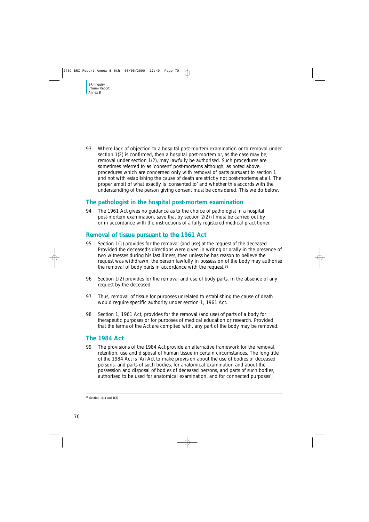

93 Where lack of objection to a hospital post-mortem examination or to removal under section 1(2) is confirmed, then a hospital post-mortem or, as the case may be, removal under section 1(2), may lawfully be authorised. Such procedures are sometimes referred to as 'consent' post-mortems although, as noted above, procedures which are concerned only with removal of parts pursuant to section 1 and not with establishing the cause of death are strictly not post-mortems at all. The proper ambit of what exactly is 'consented to' and whether this accords with the understanding of the person giving consent must be considered. This we do below.

#### **The pathologist in the hospital post-mortem examination**

94 The 1961 Act gives no guidance as to the choice of pathologist in a hospital post-mortem examination, save that by section 2(2) it must be carried out by or in accordance with the instructions of a fully registered medical practitioner.

#### **Removal of tissue pursuant to the 1961 Act**

- 95 Section 1(1) provides for the removal (and use) at the request of the deceased. Provided the deceased's directions were given in writing or orally in the presence of two witnesses during his last illness, then unless he has reason to believe the request was withdrawn, the person lawfully in possession of the body may authorise the removal of body parts in accordance with the request.88
- 96 Section 1(2) provides for the removal and use of body parts, in the absence of any request by the deceased.
- 97 Thus, removal of tissue for purposes unrelated to establishing the cause of death would require specific authority under section 1, 1961 Act.
- 98 Section 1, 1961 Act, provides for the removal (and use) of parts of a body for therapeutic purposes or for purposes of medical education or research. Provided that the terms of the Act are complied with, any part of the body may be removed.

#### **The 1984 Act**

99 The provisions of the 1984 Act provide an alternative framework for the removal, retention, use and disposal of human tissue in certain circumstances. The long title of the 1984 Act is 'An Act to make provision about the use of bodies of deceased persons, and parts of such bodies, for anatomical examination and about the possession and disposal of bodies of deceased persons, and parts of such bodies, authorised to be used for anatomical examination, and for connected purposes'.

<sup>88</sup> Section 1(1) and 1(3)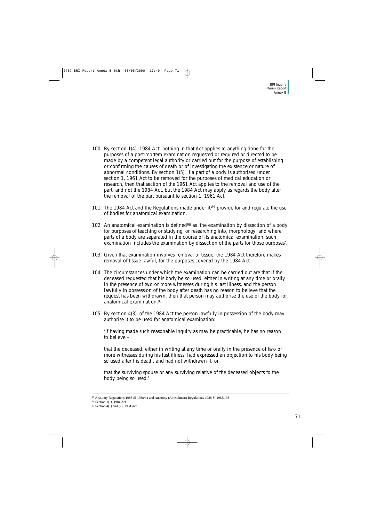- 100 By section 1(4), 1984 Act, nothing in that Act applies to anything done for the purposes of a post-mortem examination requested or required or directed to be made by a competent legal authority or carried out for the purpose of establishing or confirming the causes of death or of investigating the existence or nature of abnormal conditions. By section 1(5), if a part of a body is authorised under section 1, 1961 Act to be removed for the purposes of medical education or research, then that section of the 1961 Act applies to the removal and use of the part, and not the 1984 Act, but the 1984 Act may apply as regards the body after the removal of the part pursuant to section 1, 1961 Act.
- 101 The 1984 Act and the Regulations made under it  $89$  provide for and regulate the use of bodies for anatomical examination.
- 102 An anatomical examination is defined<sup>90</sup> as 'the examination by dissection of a body for purposes of teaching or studying, or researching into, morphology; and where parts of a body are separated in the course of its anatomical examination, such examination includes the examination by dissection of the parts for those purposes'.
- 103 Given that examination involves removal of tissue, the 1984 Act therefore makes removal of tissue lawful, for the purposes covered by the 1984 Act.
- 104 The circumstances under which the examination can be carried out are that if the deceased requested that his body be so used, either in writing at any time or orally in the presence of two or more witnesses during his last illness, and the person lawfully in possession of the body after death has no reason to believe that the request has been withdrawn, then that person may authorise the use of the body for anatomical examination.91
- 105 By section 4(3), of the 1984 Act the person lawfully in possession of the body may authorise it to be used for anatomical examination:

'if having made such reasonable inquiry as may be practicable, he has no reason to believe –

that the deceased, either in writing at any time or orally in the presence of two or more witnesses during his last illness, had expressed an objection to his body being so used after his death, and had not withdrawn it, or

that the surviving spouse or any surviving relative of the deceased objects to the body being so used.'

<sup>90</sup> Section 1(1), 1984 Act

<sup>89</sup> Anatomy Regulations 1988 SI 1988/44 and Anatomy (Amendment) Regulations 1988 SI 1988/198

<sup>91</sup> Section 4(1) and (2), 1984 Act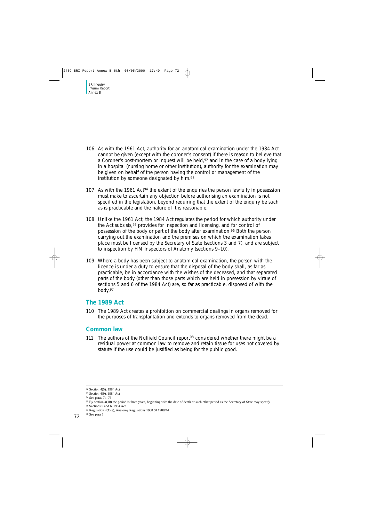

- 106 As with the 1961 Act, authority for an anatomical examination under the 1984 Act cannot be given (except with the coroner's consent) if there is reason to believe that a Coroner's post-mortem or inquest will be held,<sup>92</sup> and in the case of a body lying in a hospital (nursing home or other institution), authority for the examination may be given on behalf of the person having the control or management of the institution by someone designated by him.93
- 107 As with the 1961 Act<sup>94</sup> the extent of the enquiries the person lawfully in possession must make to ascertain any objection before authorising an examination is not specified in the legislation, beyond requiring that the extent of the enquiry be such as is practicable and the nature of it is reasonable.
- 108 Unlike the 1961 Act, the 1984 Act regulates the period for which authority under the Act subsists,95 provides for inspection and licensing, and for control of possession of the body or part of the body after examination.96 Both the person carrying out the examination and the premises on which the examination takes place must be licensed by the Secretary of State (sections 3 and 7), and are subject to inspection by HM Inspectors of Anatomy (sections 9–10).
- 109 Where a body has been subject to anatomical examination, the person with the licence is under a duty to ensure that the disposal of the body shall, as far as practicable, be in accordance with the wishes of the deceased, and that separated parts of the body (other than those parts which are held in possession by virtue of sections 5 and 6 of the 1984 Act) are, so far as practicable, disposed of with the body.97

#### **The 1989 Act**

110 The 1989 Act creates a prohibition on commercial dealings in organs removed for the purposes of transplantation and extends to organs removed from the dead.

#### **Common law**

111 The authors of the Nuffield Council report<sup>98</sup> considered whether there might be a residual power at common law to remove and retain tissue for uses not covered by statute if the use could be justified as being for the public good.

<sup>92</sup> Section 4(5), 1984 Act

<sup>93</sup> Section 4(9), 1984 Act

<sup>94</sup> See paras 74–76

<sup>&</sup>lt;sup>95</sup> By section 4(10) the period is three years, beginning with the date of death or such other period as the Secretary of State may specify

<sup>96</sup> Sections 5 and 6, 1984 Act

<sup>97</sup> Regulation 4(1)(e), Anatomy Regulations 1988 SI 1988/44 <sup>98</sup> See para 5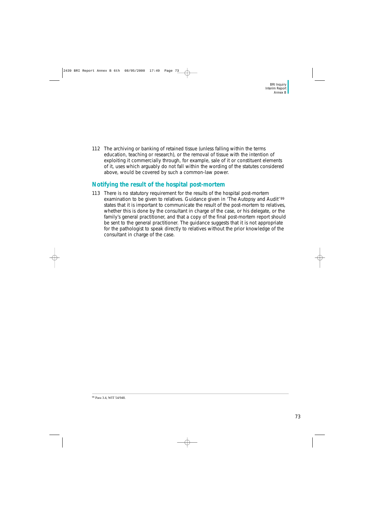112 The archiving or banking of retained tissue (unless falling within the terms education, teaching or research), or the removal of tissue with the intention of exploiting it commercially through, for example, sale of it or constituent elements of it, uses which arguably do not fall within the wording of the statutes considered above, would be covered by such a common-law power.

### **Notifying the result of the hospital post-mortem**

113 There is no statutory requirement for the results of the hospital post-mortem examination to be given to relatives. Guidance given in '*The Autopsy and Audit'*<sup>99</sup> states that it is important to communicate the result of the post-mortem to relatives, whether this is done by the consultant in charge of the case, or his delegate, or the family's general practitioner, and that a copy of the final post-mortem report should be sent to the general practitioner. The guidance suggests that it is not appropriate for the pathologist to speak directly to relatives without the prior knowledge of the consultant in charge of the case.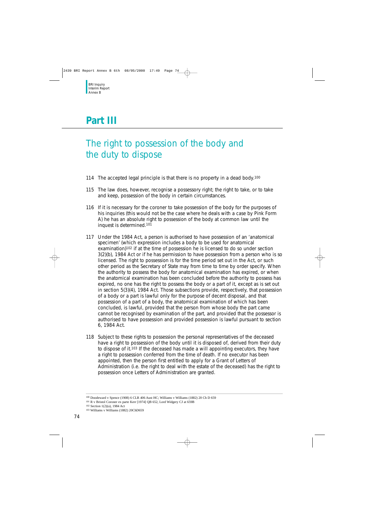# **Part III**

# The right to possession of the body and the duty to dispose

- 114 The accepted legal principle is that there is no property in a dead body.100
- 115 The law does, however, recognise a possessory right; the right to take, or to take and keep, possession of the body in certain circumstances.
- 116 If it is necessary for the coroner to take possession of the body for the purposes of his inquiries (this would not be the case where he deals with a case by Pink Form A) he has an absolute right to possession of the body at common law until the inquest is determined.101
- 117 Under the 1984 Act, a person is authorised to have possession of an 'anatomical specimen' (which expression includes a body to be used for anatomical examination)102 if at the time of possession he is licensed to do so under section 3(2)(b), 1984 Act or if he has permission to have possession from a person who is so licensed. The right to possession is for the time period set out in the Act, or such other period as the Secretary of State may from time to time by order specify. When the authority to possess the body for anatomical examination has expired, or when the anatomical examination has been concluded before the authority to possess has expired, no one has the right to possess the body or a part of it, except as is set out in section 5(3)(4), 1984 Act. Those subsections provide, respectively, that possession of a body or a part is lawful only for the purpose of decent disposal, and that possession of a part of a body, the anatomical examination of which has been concluded, is lawful, provided that the person from whose body the part came cannot be recognised by examination of the part, and provided that the possessor is authorised to have possession and provided possession is lawful pursuant to section 6, 1984 Act.
- 118 Subject to these rights to possession the personal representatives of the deceased have a right to possession of the body until it is disposed of, derived from their duty to dispose of it.103 If the deceased has made a will appointing executors, they have a right to possession conferred from the time of death. If no executor has been appointed, then the person first entitled to apply for a Grant of Letters of Administration (i.e. the right to deal with the estate of the deceased) has the right to possession once Letters of Administration are granted.

<sup>100</sup> Doodeward v Spence (1908) 6 CLR 406 Aust HC; Williams v Williams (1882) 20 Ch D 659

<sup>101</sup> R v Bristol Coroner ex parte Kerr [1974] QB 652, Lord Widgery CJ at 659B

<sup>102</sup> Section 1(2)(a), 1984 Act

<sup>103</sup> Williams v Williams (1882) 20ChD659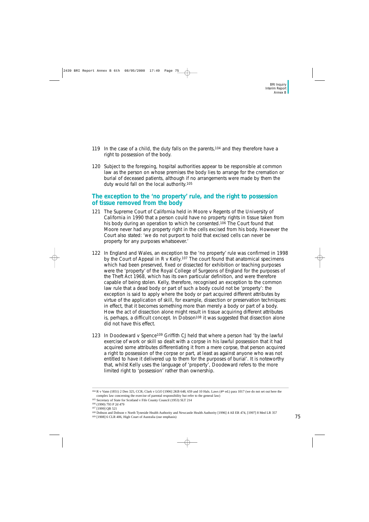- 119 In the case of a child, the duty falls on the parents,  $104$  and they therefore have a right to possession of the body.
- 120 Subject to the foregoing, hospital authorities appear to be responsible at common law as the person on whose premises the body lies to arrange for the cremation or burial of deceased patients, although if no arrangements were made by them the duty would fall on the local authority.105

#### **The exception to the 'no property' rule, and the right to possession of tissue removed from the body**

- 121 The Supreme Court of California held in *Moore v Regents of the University of California* in 1990 that a person could have no property rights in tissue taken from his body during an operation to which he consented.106 The Court found that Moore never had any property right in the cells excised from his body. However the Court also stated: 'we do not purport to hold that excised cells can never be property for any purposes whatsoever.'
- 122 In England and Wales, an exception to the 'no property' rule was confirmed in 1998 by the Court of Appeal in *R v Kelly.*<sup>107</sup> The court found that anatomical specimens which had been preserved, fixed or dissected for exhibition or teaching purposes were the 'property' of the Royal College of Surgeons of England for the purposes of the Theft Act 1968, which has its own particular definition, and were therefore capable of being stolen. *Kelly,* therefore, recognised an exception to the common law rule that a dead body or part of such a body could not be 'property': the exception is said to apply where the body or part acquired different attributes by virtue of the application of skill, for example, dissection or preservation techniques: in effect, that it becomes something more than merely a body or part of a body. How the act of dissection alone might result in tissue acquiring different attributes is, perhaps, a difficult concept. In *Dobson*<sup>108</sup> it was suggested that dissection alone did not have this effect.
- 123 In *Doodeward v Spence*<sup>109</sup> Griffith CJ held that where a person had 'by the lawful exercise of work or skill so dealt with a corpse in his lawful possession that it had acquired some attributes differentiating it from a mere corpse, that person acquired a right to possession of the corpse or part, *at least as against anyone who was not entitled* to have it delivered up to them for the purposes of burial'. It is noteworthy that, whilst *Kelly* uses the language of 'property', *Doodeward* refers to the more limited right to 'possession' rather than ownership.

<sup>104</sup> R v Vann (1851) 2 Den 325, CCR; Clark v LGO [1906] 2KB 648, 659 and 10 Hals. Laws (4th ed.) para 1017 (we do not set out here the complex law concerning the exercise of parental responsibility but refer to the general law) <sup>105</sup> Secretary of State for Scotland v Fife County Council (1953) SLT 214

<sup>106</sup> (1990) 793 P 2d 479

<sup>107</sup> [1999] QB 521

<sup>108</sup> Dobson and Dobson v North Tyneside Health Authority and Newcastle Health Authority [1996] 4 All ER 474, [1997] 8 Med LR 357

<sup>109</sup> [1908] 6 CLR 406, High Court of Australia (our emphasis)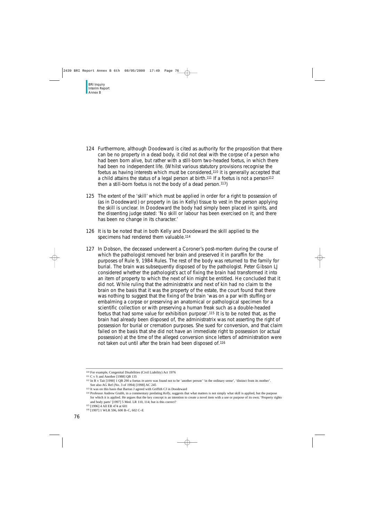

- 124 Furthermore, although *Doodeward* is cited as authority for the proposition that there can be no property in a dead body, it did not deal with the corpse of a person who had been born alive, but rather with a still-born two-headed foetus, in which there had been no independent life. (Whilst various statutory provisions recognise the foetus as having interests which must be considered,110 it is generally accepted that a child attains the status of a legal person at birth.<sup>111</sup> If a foetus is not a person<sup>112</sup> then a still-born foetus is not the body of a dead person.113)
- 125 The extent of the 'skill' which must be applied in order for a right to possession of (as in *Doodeward* ) or property in (as in *Kelly*) tissue to vest in the person applying the skill is unclear. In *Doodeward* the body had simply been placed in spirits, and the dissenting judge stated: 'No skill or labour has been exercised on it; and there has been no change in its character.'
- 126 It is to be noted that in both *Kelly* and *Doodeward* the skill applied to the specimens had rendered them valuable.<sup>114</sup>
- 127 In *Dobson,* the deceased underwent a Coroner's post-mortem during the course of which the pathologist removed her brain and preserved it in paraffin for the purposes of Rule 9, 1984 Rules. The rest of the body was returned to the family for burial. The brain was subsequently disposed of by the pathologist. Peter Gibson LJ considered whether the pathologist's act of fixing the brain had transformed it into an item of property to which the next of kin might be entitled. He concluded that it did not. While ruling that the administratrix and next of kin had no claim to the brain on the basis that it was the property of the estate, the court found that there was nothing to suggest that the fixing of the brain 'was on a par with stuffing or embalming a corpse or preserving an anatomical or pathological specimen for a scientific collection or with preserving a human freak such as a double-headed foetus that had some value for exhibition purpose'.115 It is to be noted that, as the brain had already been disposed of, the administratrix was not asserting the right of possession for burial or cremation purposes. She sued for conversion, and that claim failed on the basis that she did not have an immediate right to possession (or actual possession) at the time of the alleged conversion since letters of administration were not taken out until *after* the brain had been disposed of.116

<sup>110</sup> For example, Congenital Disabilities (Civil Liability) Act 1976

<sup>111</sup> C v S and Another [1988] QB 135

<sup>112</sup> In R v Tait [1990] 1 QB 290 a foetus *in utero* was found not to be 'another person' 'in the ordinary sense', 'distinct from its mother'. See also AG Ref (No. 3 of 1994) [1998] AC 245

<sup>113</sup> It was on this basis that Barton J agreed with Griffith CJ in Doodeward

<sup>114</sup> Professor Andrew Grubb, in a commentary predating *Kelly*, suggests that what matters is not simply what skill is applied, but the purpose for which it is applied. He argues that the key concept is an intention to create a novel item with a use or purpose of its own; 'Property rights and body parts' [1997] 5 Med. LR 110, 114; but is this correct?

<sup>115</sup> [1996] 4 All ER 474 at 601

<sup>116</sup> [1997] 1 WLR 596, 600 B–C, 602 C–E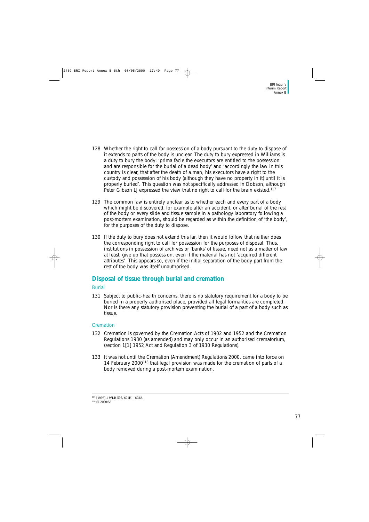- 128 Whether the right to call for possession of a body pursuant to the duty to dispose of it extends to parts of the body is unclear. The duty to bury expressed in *Williams* is a duty to bury *the body*: '*prima facie* the executors are entitled to the possession and are responsible for the burial of a dead body' and 'accordingly the law in this country is clear, that after the death of a man, his executors have a right to the custody and possession of his body (although they have no property in it) until it is properly buried'. This question was not specifically addressed in *Dobson,* although Peter Gibson LJ expressed the view that no right to call for the brain existed*.*<sup>117</sup>
- 129 The common law is entirely unclear as to whether each and every part of a body which might be discovered, for example after an accident, or after burial of the rest of the body or every slide and tissue sample in a pathology laboratory following a post-mortem examination, should be regarded as within the definition of 'the body', for the purposes of the duty to dispose.
- 130 If the duty to bury does not extend this far, then it would follow that neither does the corresponding right to call for possession for the purposes of disposal. Thus, institutions in possession of archives or 'banks' of tissue, need not as a matter of law at least, give up that possession, even if the material has not 'acquired different attributes'. This appears so, even if the initial separation of the body part from the rest of the body was itself unauthorised.

#### **Disposal of tissue through burial and cremation**

#### Burial

131 Subject to public-health concerns, there is no statutory requirement for a body to be buried in a properly authorised place, provided all legal formalities are completed. Nor is there any statutory provision preventing the burial of a part of a body such as tissue.

#### **Cremation**

- 132 Cremation is governed by the Cremation Acts of 1902 and 1952 and the Cremation Regulations 1930 (as amended) and may only occur in an authorised crematorium, (section 1[1] 1952 Act and Regulation 3 of 1930 Regulations).
- 133 It was not until the Cremation (Amendment) Regulations 2000, came into force on 14 February 2000118 that legal provision was made for the cremation of parts of a body removed during a post-mortem examination.

<sup>117</sup> [1997] 1 WLR 596, 601H – 602A <sup>118</sup> SI 2000/58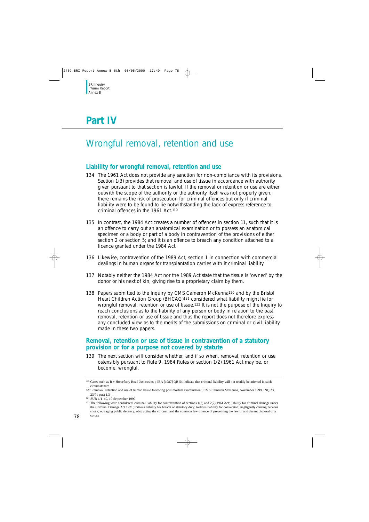# **Part IV**

# Wrongful removal, retention and use

### **Liability for wrongful removal, retention and use**

- 134 The 1961 Act does not provide any sanction for non-compliance with its provisions. Section 1(3) provides that removal and use of tissue in accordance with authority given pursuant to that section is lawful. If the removal or retention or use are either outwith the scope of the authority or the authority itself was not properly given, there remains the risk of prosecution for criminal offences but only if criminal liability were to be found to lie notwithstanding the lack of express reference to criminal offences in the 1961 Act.119
- 135 In contrast, the 1984 Act creates a number of offences in section 11, such that it is an offence to carry out an anatomical examination or to possess an anatomical specimen or a body or part of a body in contravention of the provisions of either section 2 or section 5; and it is an offence to breach any condition attached to a licence granted under the 1984 Act.
- 136 Likewise, contravention of the 1989 Act, section 1 in connection with commercial dealings in human organs for transplantation carries with it criminal liability.
- 137 Notably neither the 1984 Act nor the 1989 Act state that the tissue is 'owned' by the donor or his next of kin, giving rise to a proprietary claim by them.
- 138 Papers submitted to the Inquiry by CMS Cameron McKenna120 and by the Bristol Heart Children Action Group (BHCAG)121 considered what liability might lie for wrongful removal, retention or use of tissue.122 It is not the purpose of the Inquiry to reach conclusions as to the liability of any person or body in relation to the past removal, retention or use of tissue and thus the report does not therefore express any concluded view as to the merits of the submissions on criminal or civil liability made in these two papers.

#### **Removal, retention or use of tissue in contravention of a statutory provision or for a purpose not covered by statute**

139 The next section will consider whether, and if so when, removal, retention or use ostensibly pursuant to Rule 9, 1984 Rules or section 1(2) 1961 Act may be, or become, wrongful.

 $119$  Cases such as R v Horseferry Road Justices ex p IBA [1987] QB 54 indicate that criminal liability will not readily be inferred in such circumstances

<sup>120</sup> 'Removal, retention and use of human tissue following post-mortem examination', CMS Cameron McKenna, November 1999, INQ 23, 23/71 para 1.3

<sup>121</sup> SUB 1/1–40, 19 September 1999

<sup>122</sup> The following were considered: criminal liability for contravention of sections 1(2) and 2(2) 1961 Act; liability for criminal damage under the Criminal Damage Act 1971; tortious liability for breach of statutory duty; tortious liability for conversion; negligently causing nervous shock; outraging public decency; obstructing the coroner; and the common law offence of preventing the lawful and decent disposal of a corpse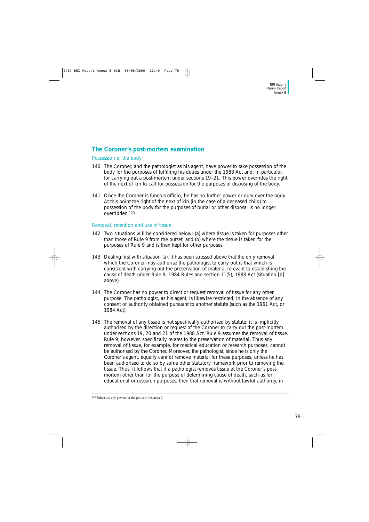### **The Coroner's post-mortem examination**

#### Possession of the body

- 140 The Coroner, and the pathologist as his agent, have power to take possession of the body for the purposes of fulfilling his duties under the 1988 Act and, in particular, for carrying out a post-mortem under sections 19–21. This power overrides the right of the next of kin to call for possession for the purposes of disposing of the body.
- 141 Once the Coroner is *functus officio*, he has no further power or duty over the body. At this point the right of the next of kin (in the case of a deceased child) to possession of the body for the purposes of burial or other disposal is no longer overridden.123

#### Removal, retention and use of tissue

- 142 Two situations will be considered below: (a) where tissue is taken for purposes other than those of Rule 9 from the outset, and (b) where the tissue is taken for the purposes of Rule 9 and is then kept for other purposes.
- 143 Dealing first with situation (a), it has been stressed above that the only removal which the Coroner may authorise the pathologist to carry out is that which is consistent with carrying out the preservation of material relevant to establishing the cause of death under Rule 9, 1984 Rules and section 11(5), 1988 Act (situation [b] above).
- 144 The Coroner has no power to direct or request removal of tissue for any other purpose. The pathologist, as his agent, is likewise restricted, in the absence of any consent or authority obtained pursuant to another statute (such as the 1961 Act, or 1984 Act).
- 145 The removal of any tissue is not specifically authorised by statute: it is implicitly authorised by the direction or request of the Coroner to carry out the post-mortem under sections 19, 20 and 21 of the 1988 Act. Rule 9 assumes the removal of tissue. Rule 9, however, specifically relates to the *preservation* of material. Thus any removal of tissue, for example, for medical education or research purposes, cannot be authorised by the Coroner. Moreover, the pathologist, since he is only the Coroner's agent, equally cannot remove material for these purposes, unless he has been authorised to do so by some other statutory framework prior to removing the tissue. Thus, it follows that if a pathologist removes tissue at the Coroner's postmortem other than for the purpose of determining cause of death, such as for educational or research purposes, then that removal is without lawful authority, in

<sup>123</sup> Subject to any powers of the police (if exercised)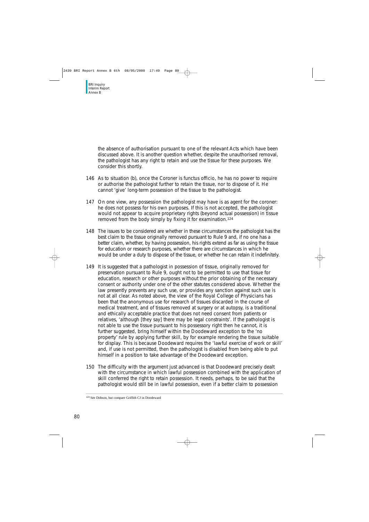the absence of authorisation pursuant to one of the relevant Acts which have been discussed above. It is another question whether, despite the unauthorised removal, the pathologist has any right to retain and use the tissue for these purposes. We consider this shortly.

- 146 As to situation (b), once the Coroner is *functus officio*, he has no power to require or authorise the pathologist further to retain the tissue, nor to dispose of it. He cannot 'give' long-term possession of the tissue to the pathologist.
- 147 On one view, any possession the pathologist may have is as agent for the coroner: he does not possess for his own purposes. If this is not accepted, the pathologist would not appear to acquire proprietary rights (beyond actual possession) in tissue removed from the body simply by fixing it for examination.124
- 148 The issues to be considered are whether in these circumstances the pathologist has the *best* claim to the tissue originally removed pursuant to Rule 9 and, if no one has a better claim, whether, by having possession, his rights extend as far as using the tissue for education or research purposes, whether there are circumstances in which he would be under a duty to dispose of the tissue, or whether he can retain it indefinitely.
- 149 It is suggested that a pathologist in possession of tissue, originally removed for preservation pursuant to Rule 9, ought not to be permitted to use that tissue for education, research or other purposes without the prior obtaining of the necessary consent or authority under one of the other statutes considered above. Whether the law presently prevents any such use, or provides any sanction against such use is not at all clear. As noted above, the view of the Royal College of Physicians has been that the anonymous use for research of tissues discarded in the course of medical treatment, and of tissues removed at surgery or at autopsy, is a traditional and ethically acceptable practice that does not need consent from patients or relatives, 'although [they say] there may be legal constraints'. If the pathologist is not able to use the tissue pursuant to his possessory right then he cannot, it is further suggested, bring himself within the *Doodeward* exception to the 'no property' rule by applying further skill, by for example rendering the tissue suitable for display. This is because *Doodeward* requires the 'lawful exercise of work or skill' and, if use is not permitted, then the pathologist is disabled from being able to put himself in a position to take advantage of the *Doodeward* exception.
- 150 The difficulty with the argument just advanced is that *Doodeward* precisely dealt with the circumstance in which lawful possession combined with the application of skill conferred the right to retain possession. It needs, perhaps, to be said that the pathologist would still be in lawful possession, even if a better claim to possession

<sup>124</sup> See Dobson, but compare Griffith CJ in Doodeward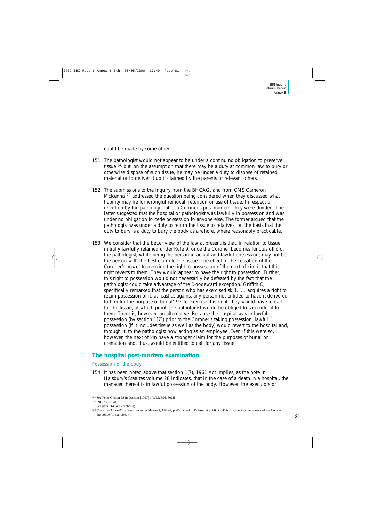could be made by some other.

- 151 The pathologist would not appear to be under a continuing obligation to preserve tissue125 but, on the assumption that there may be a duty at common law to bury or otherwise dispose of such tissue, he may be under a duty to dispose of retained material or to deliver it up if claimed by the parents or relevant others.
- 152 The submissions to the Inquiry from the BHCAG, and from CMS Cameron McKenna126 addressed the question being considered when they discussed what liability may lie for wrongful removal, retention or use of tissue. In respect of retention by the pathologist after a Coroner's post-mortem, they were divided. The latter suggested that the hospital or pathologist was lawfully in possession and was under no obligation to cede possession to anyone else. The former argued that the pathologist was under a duty to return the tissue to relatives, on the basis that the duty to bury is a duty to bury the body as a whole, where reasonably practicable.
- 153 We consider that the better view of the law at present is that, in relation to tissue initially lawfully retained under Rule 9, once the Coroner becomes *functus officio*, the pathologist, while being the person in actual and lawful possession, may not be the person with the best claim to the tissue. The effect of the cessation of the Coroner's power to override the right to possession of the next of kin, is that this right reverts to them. They would appear to have the right to possession. Further, this right to possession would not necessarily be defeated by the fact that the pathologist could take advantage of the *Doodeward* exception. Griffith CJ specifically remarked that the person who has exercised skill, '… acquires a right to retain possession of it, *at least as against any person not entitled to have it delivered to him for the purpose of burial'.127* To exercise this right, they would have to call for the tissue, at which point, the pathologist would be obliged to surrender it to them. There is, however, an alternative. Because the hospital was in lawful possession (by section 1[7]) prior to the Coroner's taking possession, lawful possession (if it includes tissue as well as the body) would revert to the hospital and, through it, to the pathologist now acting as an employee. Even if this were so, however, the next of kin have a stronger claim for the purposes of burial or cremation and, thus, would be entitled to call for any tissue.

### **The hospital post-mortem examination**

#### Possession of the body

154 It has been noted above that section 1(7), 1961 Act implies, as the note in Halsbury's Statutes volume 28 indicates, that in the case of a death in a hospital, the manager thereof is in lawful possession of the body. However, the executors or

<sup>125</sup> See Peter Gibson LJ in Dobson [1997] 1 WLR 596, 601H

<sup>126</sup> INQ 23/69–78

<sup>127</sup> See para 114 (our emphasis)

<sup>128</sup> *Clerk and Lindsell on Torts*, Sweet & Maxwell, 17th ed, p. 653, cited in Dobson at p. 600 G. This is subject to the powers of the Coroner or the police (if exercised)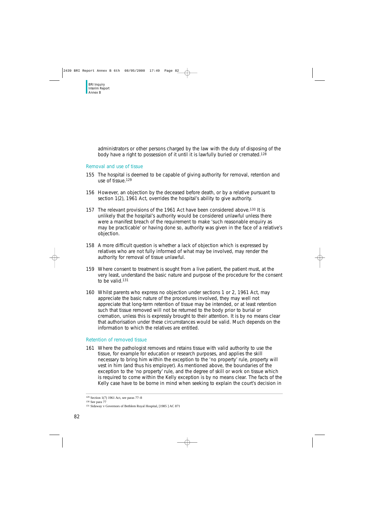administrators or other persons charged by the law with the duty of disposing of the body have a right to possession of it until it is lawfully buried or cremated.<sup>128</sup>

#### Removal and use of tissue

- 155 The hospital is deemed to be capable of giving authority for removal, retention and use of tissue.129
- 156 However, an objection by the deceased before death, or by a relative pursuant to section 1(2), 1961 Act, overrides the hospital's ability to give authority.
- 157 The relevant provisions of the 1961 Act have been considered above.130 It is unlikely that the hospital's authority would be considered unlawful unless there were a manifest breach of the requirement to make 'such reasonable enquiry as may be practicable' or having done so, authority was given in the face of a relative's objection.
- 158 A more difficult question is whether a lack of objection which is expressed by relatives who are not fully informed of what may be involved, may render the authority for removal of tissue unlawful.
- 159 Where consent to treatment is sought from a live patient, the patient must, at the very least, understand the basic nature and purpose of the procedure for the consent to be valid.131
- 160 Whilst parents who express no objection under sections 1 or 2, 1961 Act, may appreciate the basic nature of the procedures involved, they may well not appreciate that long-term retention of tissue may be intended, or at least retention such that tissue removed will not be returned to the body prior to burial or cremation, unless this is expressly brought to their attention. It is by no means clear that authorisation under these circumstances would be valid. Much depends on the information to which the relatives are entitled.

#### Retention of removed tissue

161 Where the pathologist removes and retains tissue with valid authority to use the tissue, for example for education or research purposes, and applies the skill necessary to bring him within the exception to the 'no property' rule, property will vest in him (and thus his employer). As mentioned above, the boundaries of the exception to the 'no property' rule, and the degree of skill or work on tissue which is required to come within the *Kelly* exception is by no means clear. The facts of the *Kelly* case have to be borne in mind when seeking to explain the court's decision in

<sup>129</sup> Section 1(7) 1961 Act, see paras 77–8

<sup>130</sup> See para 77

<sup>131</sup> Sidaway v Governors of Bethlem Royal Hospital, [1985 ] AC 871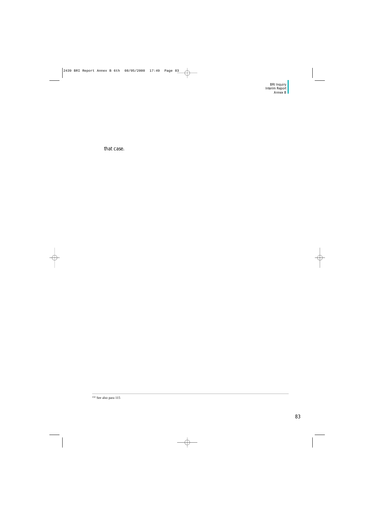BRI Inquiry Interim Report Annex B

that case.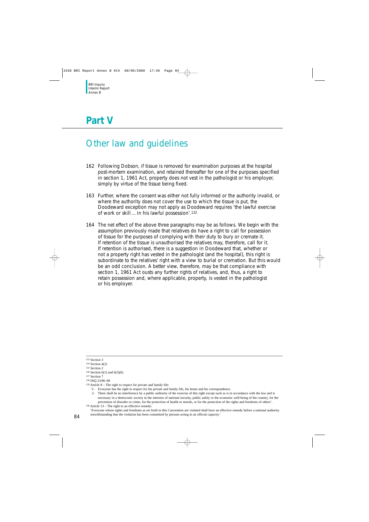# **Part V**

# Other law and guidelines

- 162 Following *Dobson*, if tissue is removed for examination purposes at the hospital post-mortem examination, and retained thereafter for one of the purposes specified in section 1, 1961 Act, property does not vest in the pathologist or his employer, simply by virtue of the tissue being fixed.
- 163 Further, where the consent was either not fully informed or the authority invalid, or where the authority does not cover the use to which the tissue is put, the *Doodeward* exception may not apply as *Doodeward* requires 'the lawful exercise of work or skill…in his lawful possession'.132
- 164 The net effect of the above three paragraphs may be as follows. We begin with the assumption previously made that relatives do have a right to call for possession of tissue for the purposes of complying with their duty to bury or cremate it. If retention of the tissue is unauthorised the relatives may, therefore, call for it. If retention is authorised, there is a suggestion in *Doodeward* that, whether or not a property right has vested in the pathologist (and the hospital), this right is subordinate to the relatives' right with a view to burial or cremation. But this would be an odd conclusion. A better view, therefore, may be that compliance with section 1, 1961 Act ousts any further rights of relatives, and, thus, a right to retain possession and, where applicable, property, is vested in the pathologist or his employer.

<sup>136</sup> Section 6(1) and 6(3)(b)

<sup>133</sup> Section 3

<sup>134</sup> Section 4(2)

<sup>135</sup> Section 2

<sup>137</sup> Section 7

<sup>138</sup> INQ 23/86–89

<sup>139</sup> Article 8 – The right to respect for private and family life:

<sup>&#</sup>x27;1- Everyone has the right to respect for his private and family life, his home and his correspondence.

<sup>2-</sup> There shall be no interference by a public authority of the exercise of this right except such as is in accordance with the law and is necessary in a democratic society in the interests of national security, public safety or the economic well-being of the country, for the prevention of disorder or crime, for the protection of health or morals, or for the protection of the rights and freedoms of others'. <sup>140</sup> Article 13 – The right to an effective remedy:

<sup>&#</sup>x27;Everyone whose rights and freedoms as set forth in this Convention are violated shall have an effective remedy before a national authority notwithstanding that the violation has been committed by persons acting in an official capacity.'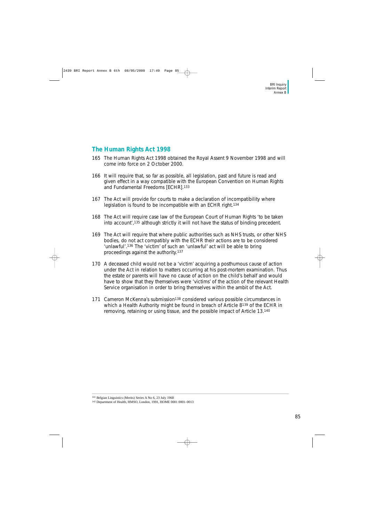#### **The Human Rights Act 1998**

- 165 The Human Rights Act 1998 obtained the Royal Assent 9 November 1998 and will come into force on 2 October 2000.
- 166 It will require that, so far as possible, all legislation, past and future is read and given effect in a way compatible with the European Convention on Human Rights and Fundamental Freedoms [ECHR].133
- 167 The Act will provide for courts to make a declaration of incompatibility where legislation is found to be incompatible with an ECHR right.134
- 168 The Act will require case law of the European Court of Human Rights 'to be taken into account',135 although strictly it will not have the status of binding precedent.
- 169 The Act will require that where public authorities such as NHS trusts, or other NHS bodies, do not act compatibly with the ECHR their actions are to be considered 'unlawful'.136 The 'victim' of such an 'unlawful' act will be able to bring proceedings against the authority.137
- 170 A deceased child would not be a 'victim' acquiring a posthumous cause of action under the Act in relation to matters occurring at his post-mortem examination. Thus the estate or parents will have no cause of action on the child's behalf and would have to show that they themselves were 'victims' of the action of the relevant Health Service organisation in order to bring themselves within the ambit of the Act.
- 171 Cameron McKenna's submission<sup>138</sup> considered various possible circumstances in which a Health Authority might be found in breach of Article 8<sup>139</sup> of the ECHR in removing, retaining or using tissue, and the possible impact of Article 13.140

<sup>141</sup> Belgian Linguistics (Merits) Series A No 6, 23 July 1968

<sup>142</sup> Department of Health, HMSO, London, 1991, HOME 0001 0001–0013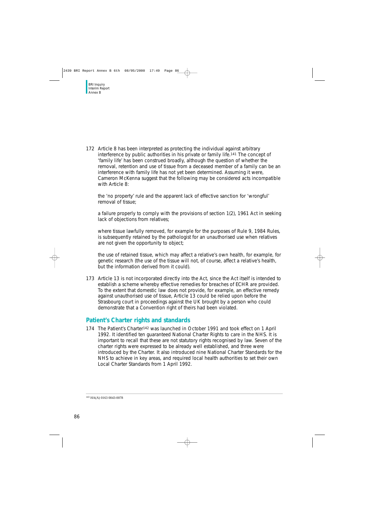172 Article 8 has been interpreted as protecting the individual against arbitrary interference by public authorities in his private or family life.141 The concept of 'family life' has been construed broadly, although the question of whether the removal, retention and use of tissue from a deceased member of a family can be an interference with family life has not yet been determined. Assuming it were, Cameron McKenna suggest that the following may be considered acts incompatible with Article 8:

the 'no property' rule and the apparent lack of effective sanction for 'wrongful' removal of tissue;

a failure properly to comply with the provisions of section 1(2), 1961 Act in seeking lack of objections from relatives;

where tissue lawfully removed, for example for the purposes of Rule 9, 1984 Rules, is subsequently retained by the pathologist for an unauthorised use when relatives are not given the opportunity to object;

the use of retained tissue, which may affect a relative's own health, for example, for genetic research (the use of the tissue will not, of course, affect a relative's health, but the information derived from it could).

173 Article 13 is not incorporated directly into the Act, since the Act itself is intended to establish a scheme whereby effective remedies for breaches of ECHR are provided. To the extent that domestic law does not provide, for example, an effective remedy against unauthorised use of tissue, Article 13 could be relied upon before the Strasbourg court in proceedings against the UK brought by a person who could demonstrate that a Convention right of theirs had been violated.

#### **Patient's Charter rights and standards**

174 The Patient's Charter142 was launched in October 1991 and took effect on 1 April 1992. It identified ten guaranteed National Charter Rights to care in the NHS. It is important to recall that these are not statutory rights recognised by law. Seven of the charter rights were expressed to be already well established, and three were introduced by the Charter. It also introduced nine National Charter Standards for the NHS to achieve in key areas, and required local health authorities to set their own Local Charter Standards from 1 April 1992.

<sup>143</sup> HA(A) 0163 0043-0078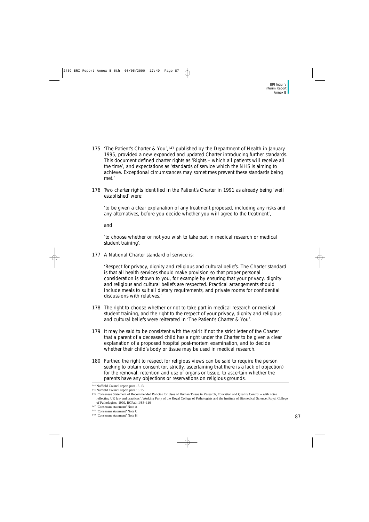- 175 '*The Patient's Charter & You',*<sup>143</sup> published by the Department of Health in January 1995, provided a new expanded and updated Charter introducing further standards. This document defined charter rights as 'Rights – which all patients will receive all the time', and expectations as 'standards of service which the NHS is aiming to achieve. Exceptional circumstances may sometimes prevent these standards being met.'
- 176 Two charter rights identified in the Patient's Charter in 1991 as already being 'well established' were:

'to be given a clear explanation of any treatment proposed, including any risks and any alternatives, before you decide whether you will agree to the treatment',

and

'to choose whether or not you wish to take part in medical research or medical student training'.

177 A National Charter standard of service is:

'Respect for privacy, dignity and religious and cultural beliefs. The Charter standard is that all health services should make provision so that proper personal consideration is shown to you, for example by ensuring that your privacy, dignity and religious and cultural beliefs are respected. Practical arrangements should include meals to suit all dietary requirements, and private rooms for confidential discussions with relatives.'

- 178 The right to choose whether or not to take part in medical research or medical student training, and the right to the respect of your privacy, dignity and religious and cultural beliefs were reiterated in '*The Patient's Charter & You'*.
- 179 It may be said to be consistent with the spirit if not the strict letter of the Charter that a parent of a deceased child has a right under the Charter to be given a clear explanation of a proposed hospital post-mortem examination, and to decide whether their child's body or tissue may be used in medical research.
- 180 Further, the right to respect for religious views can be said to require the person seeking to obtain consent (or, strictly, ascertaining that there is a lack of objection) for the removal, retention and use of organs or tissue, to ascertain whether the parents have any objections or reservations on religious grounds.

<sup>144</sup> Nuffield Council report para 13.13

<sup>145</sup> Nuffield Council report para 13.15

<sup>146</sup> 'Consensus Statement of Recommended Policies for Uses of Human Tissue in Research, Education and Quality Control – with notes reflecting UK law and practices', Working Party of the Royal College of Pathologists and the Institute of Biomedical Science, Royal College of Pathologists, 1999, RCPath 1/88–110

<sup>147</sup> 'Consensus statement' Note A

<sup>148</sup> 'Consensus statement' Note C

<sup>149</sup> 'Consensus statement' Note H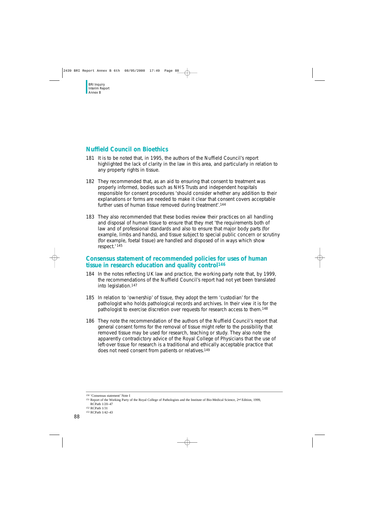## **Nuffield Council on Bioethics**

- 181 It is to be noted that, in 1995, the authors of the Nuffield Council's report highlighted the lack of clarity in the law in this area, and particularly in relation to any property rights in tissue.
- 182 They recommended that, as an aid to ensuring that consent to treatment was properly informed, bodies such as NHS Trusts and independent hospitals responsible for consent procedures 'should consider whether any addition to their explanations or forms are needed to make it clear that consent covers acceptable further uses of human tissue removed during treatment'.144
- 183 They also recommended that these bodies review their practices on all handling and disposal of human tissue to ensure that they met 'the requirements both of law and of professional standards and also to ensure that major body parts (for example, limbs and hands), and tissue subject to special public concern or scrutiny (for example, foetal tissue) are handled and disposed of in ways which show respect.' <sup>145</sup>

#### **Consensus statement of recommended policies for uses of human tissue in research education and quality control146**

- 184 In the notes reflecting UK law and practice, the working party note that, by 1999, the recommendations of the Nuffield Council's report had not yet been translated into legislation.147
- 185 In relation to 'ownership' of tissue, they adopt the term 'custodian' for the pathologist who holds pathological records and archives. In their view it is for the pathologist to exercise discretion over requests for research access to them.148
- 186 They note the recommendation of the authors of the Nuffield Council's report that general consent forms for the removal of tissue might refer to the possibility that removed tissue may be used for research, teaching or study. They also note the apparently contradictory advice of the Royal College of Physicians that the use of left-over tissue for research is a traditional and ethically acceptable practice that does not need consent from patients or relatives.149

<sup>150</sup> 'Consensus statement' Note I

<sup>151</sup> Report of the Working Party of the Royal College of Pathologists and the Institute of Bio-Medical Science, 2<sup>nd</sup> Edition, 1999,

RCPath 1/20–47

<sup>152</sup> RCPath 1/31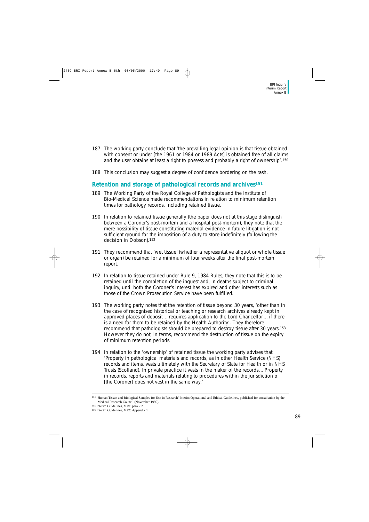- 187 The working party conclude that 'the prevailing legal opinion is that tissue obtained with consent or under [the 1961 or 1984 or 1989 Acts] is obtained free of all claims and the user obtains at least a right to possess and probably a right of ownership'.150
- 188 This conclusion may suggest a degree of confidence bordering on the rash.

### **Retention and storage of pathological records and archives151**

- 189 The Working Party of the Royal College of Pathologists and the Institute of Bio-Medical Science made recommendations in relation to minimum retention times for pathology records, including retained tissue.
- 190 In relation to retained tissue generally (the paper does not at this stage distinguish between a Coroner's post-mortem and a hospital post-mortem), they note that the mere possibility of tissue constituting material evidence in future litigation is not sufficient ground for the imposition of a duty to store indefinitely (following the decision in *Dobson*).152
- 191 They recommend that 'wet tissue' (whether a representative aliquot or whole tissue or organ) be retained for a minimum of four weeks after the final post-mortem report.
- 192 In relation to tissue retained under Rule 9, 1984 Rules, they note that this is to be retained until the completion of the inquest and, in deaths subject to criminal inquiry, until both the Coroner's interest has expired and other interests such as those of the Crown Prosecution Service have been fulfilled.
- 193 The working party notes that the retention of tissue beyond 30 years, 'other than in the case of recognised historical or teaching or research archives already kept in approved places of deposit ... requires application to the Lord Chancellor ... if there is a need for them to be retained by the Health Authority'. They therefore recommend that pathologists should be prepared to destroy tissue after 30 years.153 However they do not, in terms, recommend the destruction of tissue on the expiry of minimum retention periods.
- 194 In relation to the 'ownership' of retained tissue the working party advises that 'Property in pathological materials and records, as in other Health Service (NHS) records and items, vests ultimately with the Secretary of State for Health or in NHS Trusts (Scotland). In private practice it vests in the maker of the records…Property in records, reports and materials relating to procedures within the jurisdiction of [the Coroner] does not vest in the same way.'

<sup>154</sup> 'Human Tissue and Biological Samples for Use in Research' Interim Operational and Ethical Guidelines, published for consultation by the Medical Research Council (November 1999)

<sup>155</sup> Interim Guidelines, MRC para 2.2

<sup>156</sup> Interim Guidelines, MRC Appendix 1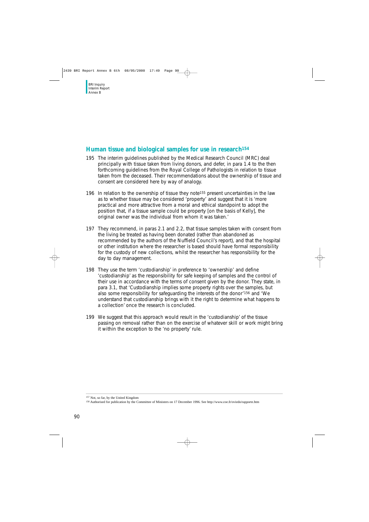#### **Human tissue and biological samples for use in research154**

- 195 The interim guidelines published by the Medical Research Council (MRC) deal principally with tissue taken from living donors, and defer, in para 1.4 to the then forthcoming guidelines from the Royal College of Pathologists in relation to tissue taken from the deceased. Their recommendations about the ownership of tissue and consent are considered here by way of analogy.
- 196 In relation to the ownership of tissue they note155 present uncertainties in the law as to whether tissue may be considered 'property' and suggest that it is 'more practical and more attractive from a moral and ethical standpoint to adopt the position that, if a tissue sample could be property [on the basis of *Kelly*], the original owner was the individual from whom it was taken.'
- 197 They recommend, in paras 2.1 and 2.2, that tissue samples taken with consent from the living be treated as having been donated (rather than abandoned as recommended by the authors of the Nuffield Council's report), and that the hospital or other institution where the researcher is based should have formal responsibility for the custody of new collections, whilst the researcher has responsibility for the day to day management.
- 198 They use the term 'custodianship' in preference to 'ownership' and define 'custodianship' as the responsibility for safe keeping of samples and the control of their use in accordance with the terms of consent given by the donor. They state, in para 3.1, that 'Custodianship implies some property rights over the samples, but also some responsibility for safeguarding the interests of the donor'156 and 'We understand that custodianship brings with it the right to determine what happens to a collection' once the research is concluded.
- 199 We suggest that this approach would result in the 'custodianship' of the tissue passing on removal rather than on the exercise of whatever skill or work might bring it within the exception to the 'no property' rule.

<sup>157</sup> Not, so far, by the United Kingdom

<sup>158</sup> Authorised for publication by the Committee of Ministers on 17 December 1996. See http://www.coe.fr/oviedo/rapporte.htm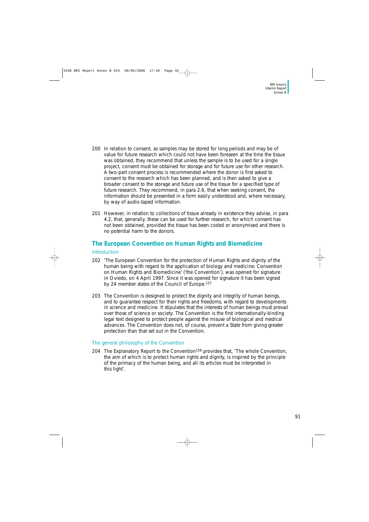- 200 In relation to consent, as samples may be stored for long periods and may be of value for future research which could not have been foreseen at the time the tissue was obtained, they recommend that unless the sample is to be used for a single project, consent must be obtained for storage and for future use for other research. A two-part consent process is recommended where the donor is first asked to consent to the research which has been planned, and is then asked to give a broader consent to the storage and future use of the tissue for a specified type of future research. They recommend, in para 2.6, that when seeking consent, the information should be presented in a form easily understood and, where necessary, by way of audio-taped information.
- 201 However, in relation to collections of tissue already in existence they advise, in para 4.2, that, generally, these can be used for further research, for which consent has not been obtained, provided the tissue has been coded or anonymised and there is no potential harm to the donors.

### **The European Convention on Human Rights and Biomedicine**

#### **Introduction**

- 202 'The European Convention for the protection of Human Rights and dignity of the human being with regard to the application of biology and medicine: Convention on Human Rights and Biomedicine' ('the Convention'), was opened for signature in Oviedo, on 4 April 1997. Since it was opened for signature it has been signed by 24 member states of the Council of Europe.157
- 203 The Convention is designed to protect the dignity and integrity of human beings, and to guarantee respect for their rights and freedoms, with regard to developments in science and medicine. It stipulates that the interests of human beings must prevail over those of science or society. The Convention is the first internationally-binding legal text designed to protect people against the misuse of biological and medical advances. The Convention does not, of course, prevent a State from giving greater protection than that set out in the Convention.

#### The general philosophy of the Convention

204 The Explanatory Report to the Convention158 provides that, 'The whole Convention, the aim of which is to protect human rights and dignity, is inspired by the principle of the primacy of the human being, and all its articles must be interpreted in this light'.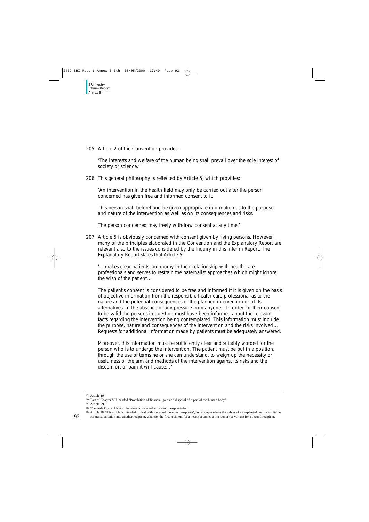205 Article 2 of the Convention provides:

'The interests and welfare of the human being shall prevail over the sole interest of society or science.'

206 This general philosophy is reflected by Article 5, which provides:

'An intervention in the health field may only be carried out after the person concerned has given free and informed consent to it.

This person shall beforehand be given appropriate information as to the purpose and nature of the intervention as well as on its consequences and risks.

The person concerned may freely withdraw consent at any time.'

207 Article 5 is obviously concerned with consent given by living persons. However, many of the principles elaborated in the Convention and the Explanatory Report are relevant also to the issues considered by the Inquiry in this Interim Report. The Explanatory Report states that Article 5:

'…makes clear patients' autonomy in their relationship with health care professionals and serves to restrain the paternalist approaches which might ignore the wish of the patient…

The patient's consent is considered to be free and informed if it is given on the basis of objective information from the responsible health care professional as to the nature and the potential consequences of the planned intervention or of its alternatives, in the absence of any pressure from anyone...In order for their consent to be valid the persons in question must have been informed about the relevant facts regarding the intervention being contemplated. This information must include the purpose, nature and consequences of the intervention and the risks involved… Requests for additional information made by patients must be adequately answered.

Moreover, this information must be sufficiently clear and suitably worded for the person who is to undergo the intervention. The patient must be put in a position, through the use of terms he or she can understand, to weigh up the necessity or usefulness of the aim and methods of the intervention against its risks and the discomfort or pain it will cause…'

<sup>159</sup> Article 19

<sup>160</sup> Part of Chapter VII, headed 'Prohibition of financial gain and disposal of a part of the human body'

<sup>161</sup> Article 29

<sup>162</sup> The draft Protocol is not, therefore, concerned with xenotransplantation

<sup>163</sup> Article 18. This article is intended to deal with so-called 'domino transplants', for example where the valves of an explanted heart are suitable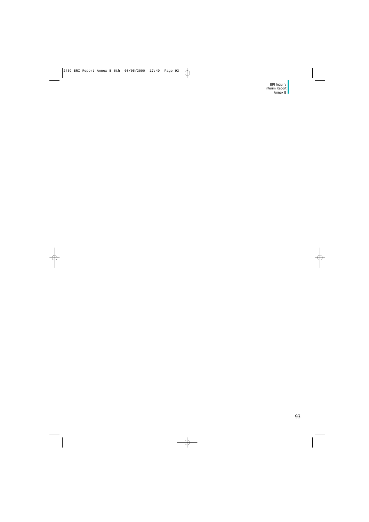BRI Inquiry Interim Report Annex B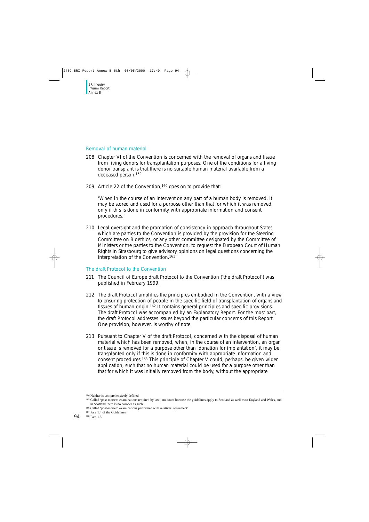#### Removal of human material

- 208 Chapter VI of the Convention is concerned with the removal of organs and tissue from living donors for transplantation purposes. One of the conditions for a living donor transplant is that there is no suitable human material available from a deceased person.159
- 209 Article 22 of the Convention,160 goes on to provide that:

'When in the course of an intervention any part of a human body is removed, it may be stored and used for a purpose other than that for which it was removed, only if this is done in conformity with appropriate information and consent procedures.'

210 Legal oversight and the promotion of consistency in approach throughout States which are parties to the Convention is provided by the provision for the Steering Committee on Bioethics, or any other committee designated by the Committee of Ministers or the parties to the Convention, to request the European Court of Human Rights in Strasbourg to give advisory opinions on legal questions concerning the interpretation of the Convention.161

#### The draft Protocol to the Convention

- 211 The Council of Europe draft Protocol to the Convention ('the draft Protocol') was published in February 1999.
- 212 The draft Protocol amplifies the principles embodied in the Convention, with a view to ensuring protection of people in the specific field of transplantation of organs and tissues of human origin.162 It contains general principles and specific provisions. The draft Protocol was accompanied by an Explanatory Report. For the most part, the draft Protocol addresses issues beyond the particular concerns of this Report. One provision, however, is worthy of note.
- 213 Pursuant to Chapter V of the draft Protocol, concerned with the disposal of human material which has been removed, when, in the course of an intervention, an organ or tissue is removed for a purpose other than 'donation for implantation', it may be transplanted only if this is done in conformity with appropriate information and consent procedures.163 This principle of Chapter V could, perhaps, be given wider application, such that no human material could be used for a purpose other than that for which it was initially removed from the body, without the appropriate

<sup>164</sup> Neither is comprehensively defined

<sup>165</sup> Called 'post-mortem examinations required by law', no doubt because the guidelines apply to Scotland as well as to England and Wales, and in Scotland there is no coroner as such

<sup>166</sup> Called 'post-mortem examinations performed with relatives' agreement'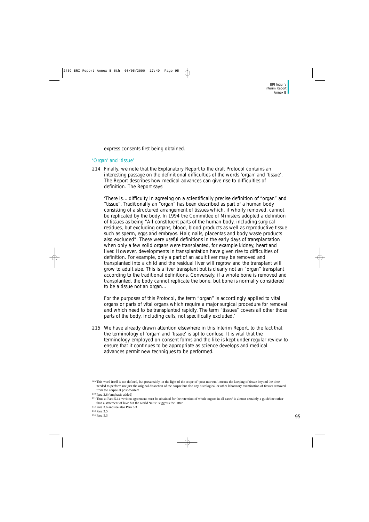express consents first being obtained.

#### 'Organ' and 'tissue'

214 Finally, we note that the Explanatory Report to the draft Protocol contains an interesting passage on the definitional difficulties of the words 'organ' and 'tissue'. The Report describes how medical advances can give rise to difficulties of definition. The Report says:

'There is…difficulty in agreeing on a scientifically precise definition of "organ" and "tissue". Traditionally an "organ" has been described as part of a human body consisting of a structured arrangement of tissues which, if wholly removed, cannot be replicated by the body. In 1994 the Committee of Ministers adopted a definition of tissues as being "All constituent parts of the human body, including surgical residues, but excluding organs, blood, blood products as well as reproductive tissue such as sperm, eggs and embryos. Hair, nails, placentas and body waste products also excluded". These were useful definitions in the early days of transplantation when only a few solid organs were transplanted, for example kidney, heart and liver. However, developments in transplantation have given rise to difficulties of definition. For example, only a part of an adult liver may be removed and transplanted into a child and the residual liver will regrow and the transplant will grow to adult size. This is a liver transplant but is clearly not an "organ" transplant according to the traditional definitions. Conversely, if a whole bone is removed and transplanted, the body cannot replicate the bone, but bone is normally considered to be a tissue not an organ…

For the purposes of this Protocol, the term "organ" is accordingly applied to vital organs or parts of vital organs which require a major surgical procedure for removal and which need to be transplanted rapidly. The term "tissues" covers all other those parts of the body, including cells, not specifically excluded.'

215 We have already drawn attention elsewhere in this Interim Report, to the fact that the terminology of 'organ' and 'tissue' is apt to confuse. It is vital that the terminology employed on consent forms and the like is kept under regular review to ensure that it continues to be appropriate as science develops and medical advances permit new techniques to be performed.

<sup>&</sup>lt;sup>169</sup> This word itself is not defined, but presumably, in the light of the scope of 'post-mortem', means the keeping of tissue beyond the time needed to perform not just the original dissection of the corpse but also any histological or other laboratory examination of tissues removed from the corpse at post-mortem

<sup>170</sup> Para 3.6 (emphasis added)

<sup>171</sup> Thus at Para 5.14 'written agreement must be obtained for the retention of whole organs in all cases' is almost certainly a guideline rather than a statement of law: but the world 'must' suggests the latter

<sup>172</sup> Para 3.6 and see also Para 6.3

<sup>173</sup> Para 3.5

<sup>174</sup> Para 5.3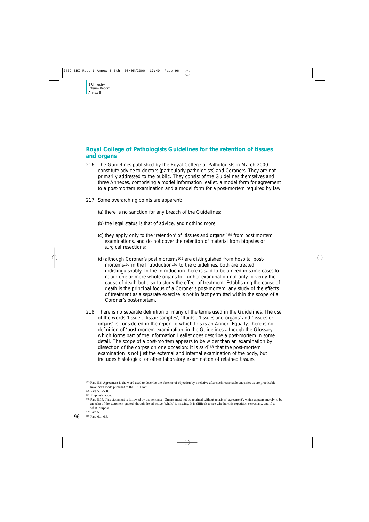#### **Royal College of Pathologists Guidelines for the retention of tissues and organs**

- 216 The Guidelines published by the Royal College of Pathologists in March 2000 constitute advice to doctors (particularly pathologists) and Coroners. They are not primarily addressed to the public. They consist of the Guidelines themselves and three Annexes, comprising a model information leaflet, a model form for agreement to a post-mortem examination and a model form for a post-mortem required by law.
- 217 Some overarching points are apparent:
	- (a) there is no sanction for any breach of the Guidelines;
	- (b) the legal status is that of advice, and nothing more;
	- (c) they apply only to the 'retention' of 'tissues and organs' <sup>164</sup> from post mortem examinations, and do not cover the retention of material from biopsies or surgical resections;
	- (d) although Coroner's post mortems165 are distinguished from hospital postmortems<sup>166</sup> in the Introduction<sup>167</sup> to the Guidelines, both are treated indistinguishably. In the Introduction there is said to be a need in some cases to retain one or more whole organs for further examination not only to verify the cause of death but also to study the effect of treatment. Establishing the cause of death is the principal focus of a Coroner's post-mortem: any study of the effects of treatment as a *separate* exercise is not in fact permitted within the scope of a Coroner's post-mortem.
- 218 There is no separate definition of many of the terms used in the Guidelines. The use of the words 'tissue', 'tissue samples', 'fluids', 'tissues and organs' and 'tissues or organs' is considered in the report to which this is an Annex. Equally, there is no definition of 'post-mortem examination' in the Guidelines although the Glossary which forms part of the Information Leaflet does describe a post-mortem in some detail. The scope of a post-mortem appears to be wider than an examination by dissection of the corpse on one occasion: it is said168 that the post-mortem examination is not just the external and internal examination of the body, but includes histological or other laboratory examination of retained tissues.

<sup>175</sup> Para 5.6. Agreement is the word used to describe the absence of objection by a relative after such reasonable enquiries as are practicable have been made pursuant to the 1961 Act

<sup>176</sup> Para 5.7–5.10

<sup>177</sup> Emphasis added

<sup>178</sup> Para 5.14. This statement is followed by the sentence 'Organs must not be retained without relatives' agreement', which appears merely to be an echo of the statement quoted, though the adjective 'whole' is missing. It is difficult to see whether this repetition serves any, and if so what, purpose

<sup>179</sup> Para 5.15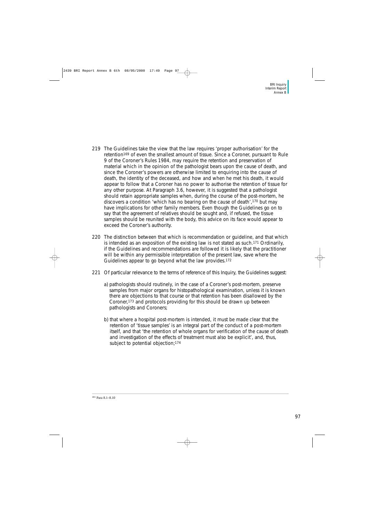- 219 The Guidelines take the view that the law requires 'proper authorisation' for the retention<sup>169</sup> of even the smallest amount of tissue. Since a Coroner, pursuant to Rule 9 of the Coroner's Rules 1984, may require the retention and preservation of material which in the opinion of the pathologist bears upon the cause of death, and since the Coroner's powers are otherwise limited to enquiring into the cause of death, the identity of the deceased, and how and when he met his death, it would appear to follow that a Coroner has no power to authorise the retention of tissue for any other purpose. At Paragraph 3.6, however, it is suggested that a pathologist should retain appropriate samples when, during the course of the post-mortem, he discovers a condition '*which has no bearing on the cause of death*',170 but may have implications for other family members. Even though the Guidelines go on to say that the agreement of relatives should be sought and, if refused, the tissue samples should be reunited with the body, this advice on its face would appear to exceed the Coroner's authority.
- 220 The distinction between that which is recommendation or guideline, and that which is intended as an exposition of the existing law is not stated as such.171 Ordinarily, if the Guidelines and recommendations are followed it is likely that the practitioner will be within any permissible interpretation of the present law, save where the Guidelines appear to go beyond what the law provides.172
- 221 Of particular relevance to the terms of reference of this Inquiry, the Guidelines suggest:
	- a) pathologists should routinely, in the case of a Coroner's post-mortem, preserve samples from major organs for histopathological examination, unless it is known there are objections to that course or that retention has been disallowed by the Coroner,173 and protocols providing for this should be drawn up between pathologists and Coroners;
	- b) that where a hospital post-mortem is intended, it must be made clear that the retention of 'tissue samples' is an integral part of the conduct of a post-mortem itself, and that 'the retention of whole organs for verification of the cause of death and investigation of the effects of treatment must also be explicit', and, thus, subject to potential objection;<sup>174</sup>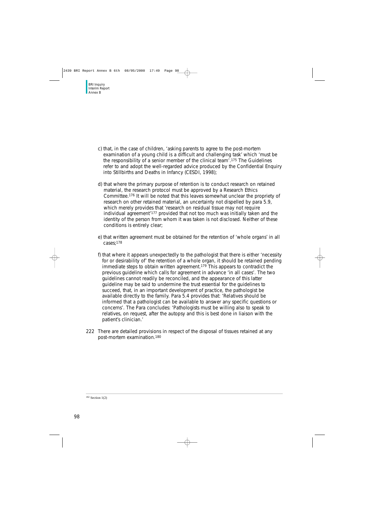

- c) that, in the case of children, 'asking parents to agree to the post-mortem examination of a young child is a difficult and challenging task' which 'must be the responsibility of a senior member of the clinical team'.175 The Guidelines refer to and adopt the well-regarded advice produced by the Confidential Enquiry into Stillbirths and Deaths in Infancy (CESDI, 1998);
- d) that where the primary purpose of retention is to conduct research on retained material, the research protocol must be approved by a Research Ethics Committee.176 It will be noted that this leaves somewhat unclear the propriety of research on other retained material, an uncertainty not dispelled by para 5.9, which merely provides that 'research on *residual tissue* may not require individual agreement'177 provided that not too much was initially taken and the identity of the person from whom it was taken is not disclosed. Neither of these conditions is entirely clear;
- e) that written agreement must be obtained for the retention of 'whole organs' in all cases;178
- f) that where it appears unexpectedly to the pathologist that there is either 'necessity for or desirability of' the retention of a whole organ, it should be retained pending immediate steps to obtain written agreement.179 This appears to contradict the previous guideline which calls for agreement in advance 'in all cases'. The two guidelines cannot readily be reconciled, and the appearance of this latter guideline may be said to undermine the trust essential for the guidelines to succeed, that, in an important development of practice, the pathologist be available directly to the family. Para 5.4 provides that: 'Relatives should be informed that a pathologist can be available to answer any specific questions or concerns'. The Para concludes: 'Pathologists must be willing also to speak to relatives, on request, after the autopsy and this is best done in liaison with the patient's clinician.'
- 222 There are detailed provisions in respect of the disposal of tissues retained at any post-mortem examination.180

<sup>182</sup> Section 1(2)